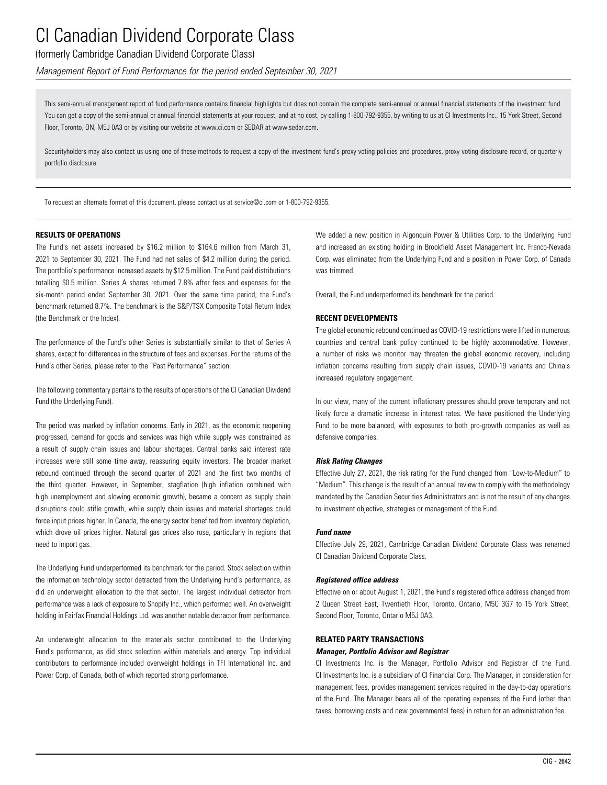### (formerly Cambridge Canadian Dividend Corporate Class)

*Management Report of Fund Performance for the period ended September 30, 2021*

This semi-annual management report of fund performance contains financial highlights but does not contain the complete semi-annual or annual financial statements of the investment fund. You can get a copy of the semi-annual or annual financial statements at your request, and at no cost, by calling 1-800-792-9355, by writing to us at CI Investments Inc., 15 York Street, Second Floor, Toronto, ON, M5J 0A3 or by visiting our website at www.ci.com or SEDAR at www.sedar.com.

Securityholders may also contact us using one of these methods to request a copy of the investment fund's proxy voting policies and procedures, proxy voting disclosure record, or quarterly portfolio disclosure.

To request an alternate format of this document, please contact us at service@ci.com or 1-800-792-9355.

#### **RESULTS OF OPERATIONS**

The Fund's net assets increased by \$16.2 million to \$164.6 million from March 31, 2021 to September 30, 2021. The Fund had net sales of \$4.2 million during the period. The portfolio's performance increased assets by \$12.5 million. The Fund paid distributions totalling \$0.5 million. Series A shares returned 7.8% after fees and expenses for the six-month period ended September 30, 2021. Over the same time period, the Fund's benchmark returned 8.7%. The benchmark is the S&P/TSX Composite Total Return Index (the Benchmark or the Index).

The performance of the Fund's other Series is substantially similar to that of Series A shares, except for differences in the structure of fees and expenses. For the returns of the Fund's other Series, please refer to the "Past Performance" section.

The following commentary pertains to the results of operations of the CI Canadian Dividend Fund (the Underlying Fund).

The period was marked by inflation concerns. Early in 2021, as the economic reopening progressed, demand for goods and services was high while supply was constrained as a result of supply chain issues and labour shortages. Central banks said interest rate increases were still some time away, reassuring equity investors. The broader market rebound continued through the second quarter of 2021 and the first two months of the third quarter. However, in September, stagflation (high inflation combined with high unemployment and slowing economic growth), became a concern as supply chain disruptions could stifle growth, while supply chain issues and material shortages could force input prices higher. In Canada, the energy sector benefited from inventory depletion, which drove oil prices higher. Natural gas prices also rose, particularly in regions that need to import gas.

The Underlying Fund underperformed its benchmark for the period. Stock selection within the information technology sector detracted from the Underlying Fund's performance, as did an underweight allocation to the that sector. The largest individual detractor from performance was a lack of exposure to Shopify Inc., which performed well. An overweight holding in Fairfax Financial Holdings Ltd. was another notable detractor from performance.

An underweight allocation to the materials sector contributed to the Underlying Fund's performance, as did stock selection within materials and energy. Top individual contributors to performance included overweight holdings in TFI International Inc. and Power Corp. of Canada, both of which reported strong performance.

We added a new position in Algonquin Power & Utilities Corp. to the Underlying Fund and increased an existing holding in Brookfield Asset Management Inc. Franco-Nevada Corp. was eliminated from the Underlying Fund and a position in Power Corp. of Canada was trimmed.

Overall, the Fund underperformed its benchmark for the period.

#### **RECENT DEVELOPMENTS**

The global economic rebound continued as COVID-19 restrictions were lifted in numerous countries and central bank policy continued to be highly accommodative. However, a number of risks we monitor may threaten the global economic recovery, including inflation concerns resulting from supply chain issues, COVID-19 variants and China's increased regulatory engagement.

In our view, many of the current inflationary pressures should prove temporary and not likely force a dramatic increase in interest rates. We have positioned the Underlying Fund to be more balanced, with exposures to both pro-growth companies as well as defensive companies.

#### *Risk Rating Changes*

Effective July 27, 2021, the risk rating for the Fund changed from "Low-to-Medium" to "Medium". This change is the result of an annual review to comply with the methodology mandated by the Canadian Securities Administrators and is not the result of any changes to investment objective, strategies or management of the Fund.

#### *Fund name*

Effective July 29, 2021, Cambridge Canadian Dividend Corporate Class was renamed CI Canadian Dividend Corporate Class.

#### *Registered office address*

Effective on or about August 1, 2021, the Fund's registered office address changed from 2 Queen Street East, Twentieth Floor, Toronto, Ontario, M5C 3G7 to 15 York Street, Second Floor, Toronto, Ontario M5J 0A3.

#### **RELATED PARTY TRANSACTIONS**

#### *Manager, Portfolio Advisor and Registrar*

CI Investments Inc. is the Manager, Portfolio Advisor and Registrar of the Fund. CI Investments Inc. is a subsidiary of CI Financial Corp. The Manager, in consideration for management fees, provides management services required in the day-to-day operations of the Fund. The Manager bears all of the operating expenses of the Fund (other than taxes, borrowing costs and new governmental fees) in return for an administration fee.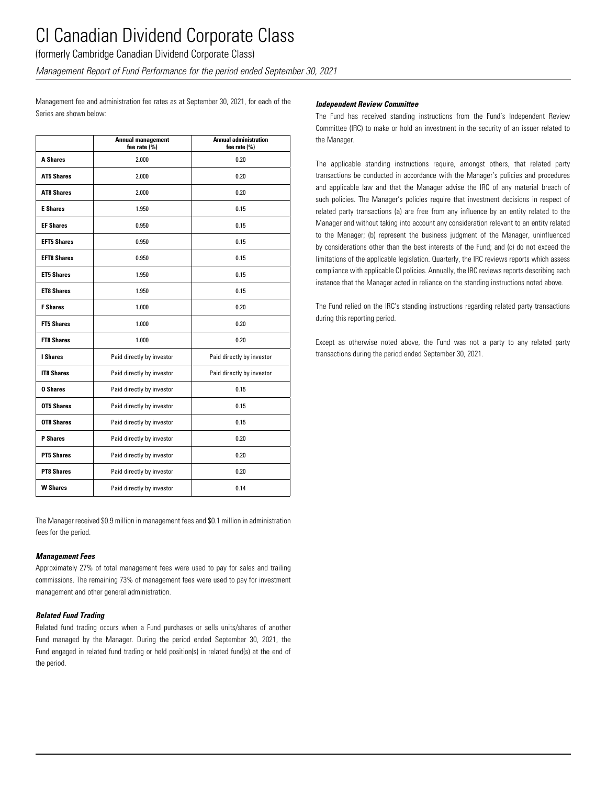(formerly Cambridge Canadian Dividend Corporate Class)

*Management Report of Fund Performance for the period ended September 30, 2021*

Management fee and administration fee rates as at September 30, 2021, for each of the Series are shown below:

|                    | <b>Annual management</b><br>fee rate (%) | <b>Annual administration</b><br>fee rate (%) |
|--------------------|------------------------------------------|----------------------------------------------|
| <b>A Shares</b>    | 2.000                                    | 0.20                                         |
| <b>AT5 Shares</b>  | 2.000                                    | 0.20                                         |
| <b>AT8 Shares</b>  | 2.000                                    | 0.20                                         |
| <b>E</b> Shares    | 1.950                                    | 0.15                                         |
| <b>EF Shares</b>   | 0.950                                    | 0.15                                         |
| <b>EFT5 Shares</b> | 0.950                                    | 0.15                                         |
| <b>EFT8 Shares</b> | 0.950                                    | 0.15                                         |
| <b>ET5 Shares</b>  | 1.950                                    | 0.15                                         |
| <b>ET8 Shares</b>  | 1.950                                    | 0.15                                         |
| <b>F</b> Shares    | 1.000                                    | 0.20                                         |
| <b>FT5 Shares</b>  | 1.000                                    | 0.20                                         |
| <b>FT8 Shares</b>  | 1.000                                    | 0.20                                         |
| I Shares           | Paid directly by investor                | Paid directly by investor                    |
| <b>IT8 Shares</b>  | Paid directly by investor                | Paid directly by investor                    |
| <b>O</b> Shares    | Paid directly by investor                | 0.15                                         |
| <b>OT5 Shares</b>  | Paid directly by investor                | 0.15                                         |
| <b>OT8 Shares</b>  | Paid directly by investor                | 0.15                                         |
| <b>P</b> Shares    | Paid directly by investor                | 0.20                                         |
| <b>PT5 Shares</b>  | Paid directly by investor                | 0.20                                         |
| <b>PT8 Shares</b>  | Paid directly by investor                | 0.20                                         |
| <b>W Shares</b>    | Paid directly by investor                | 0.14                                         |

The Manager received \$0.9 million in management fees and \$0.1 million in administration fees for the period.

### *Management Fees*

Approximately 27% of total management fees were used to pay for sales and trailing commissions. The remaining 73% of management fees were used to pay for investment management and other general administration.

### *Related Fund Trading*

Related fund trading occurs when a Fund purchases or sells units/shares of another Fund managed by the Manager. During the period ended September 30, 2021, the Fund engaged in related fund trading or held position(s) in related fund(s) at the end of the period.

### *Independent Review Committee*

The Fund has received standing instructions from the Fund's Independent Review Committee (IRC) to make or hold an investment in the security of an issuer related to the Manager.

The applicable standing instructions require, amongst others, that related party transactions be conducted in accordance with the Manager's policies and procedures and applicable law and that the Manager advise the IRC of any material breach of such policies. The Manager's policies require that investment decisions in respect of related party transactions (a) are free from any influence by an entity related to the Manager and without taking into account any consideration relevant to an entity related to the Manager; (b) represent the business judgment of the Manager, uninfluenced by considerations other than the best interests of the Fund; and (c) do not exceed the limitations of the applicable legislation. Quarterly, the IRC reviews reports which assess compliance with applicable CI policies. Annually, the IRC reviews reports describing each instance that the Manager acted in reliance on the standing instructions noted above.

The Fund relied on the IRC's standing instructions regarding related party transactions during this reporting period.

Except as otherwise noted above, the Fund was not a party to any related party transactions during the period ended September 30, 2021.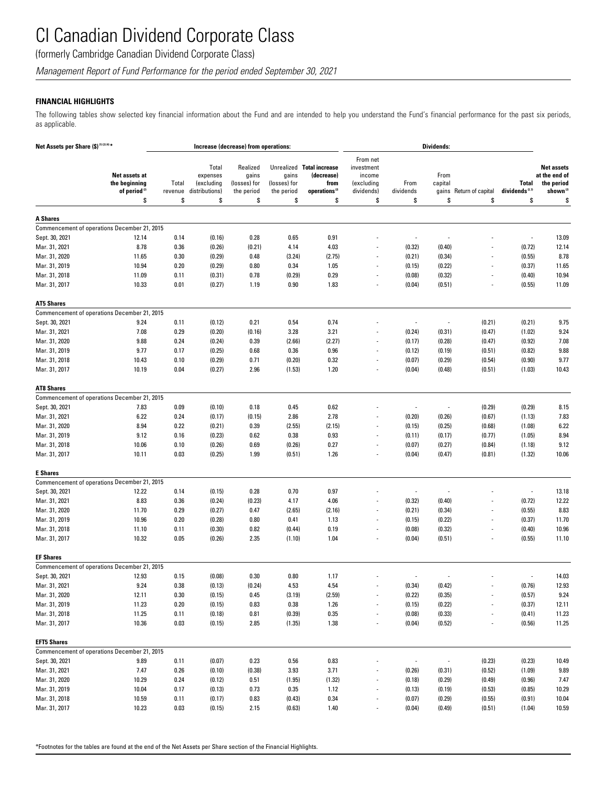(formerly Cambridge Canadian Dividend Corporate Class)

*Management Report of Fund Performance for the period ended September 30, 2021*

### **FINANCIAL HIGHLIGHTS**

The following tables show selected key financial information about the Fund and are intended to help you understand the Fund's financial performance for the past six periods, as applicable.

| Net Assets per Share (\$) <sup>(1)(2)(4)*</sup> |                                                                  |                        |                                                         | Increase (decrease) from operations:                  |                                           |                                                                                    | Dividends:                                                         |                          |                                |                          |                                           |                                                                                |
|-------------------------------------------------|------------------------------------------------------------------|------------------------|---------------------------------------------------------|-------------------------------------------------------|-------------------------------------------|------------------------------------------------------------------------------------|--------------------------------------------------------------------|--------------------------|--------------------------------|--------------------------|-------------------------------------------|--------------------------------------------------------------------------------|
|                                                 | Net assets at<br>the beginning<br>of period <sup>(2)</sup><br>\$ | Total<br>revenue<br>\$ | Total<br>expenses<br>(excluding<br>distributions)<br>\$ | Realized<br>gains<br>(losses) for<br>the period<br>\$ | gains<br>(losses) for<br>the period<br>\$ | Unrealized Total increase<br>(decrease)<br>from<br>operations <sup>(2)</sup><br>\$ | From net<br>investment<br>income<br>(excluding<br>dividends)<br>\$ | From<br>dividends<br>\$  | From<br>capital<br>gains<br>\$ | Return of capital<br>\$  | Total<br>dividends <sup>(2,3)</sup><br>\$ | <b>Net assets</b><br>at the end of<br>the period<br>shown <sup>(2)</sup><br>\$ |
|                                                 |                                                                  |                        |                                                         |                                                       |                                           |                                                                                    |                                                                    |                          |                                |                          |                                           |                                                                                |
| <b>A Shares</b>                                 |                                                                  |                        |                                                         |                                                       |                                           |                                                                                    |                                                                    |                          |                                |                          |                                           |                                                                                |
|                                                 | Commencement of operations December 21, 2015                     |                        |                                                         |                                                       |                                           |                                                                                    |                                                                    |                          |                                |                          |                                           |                                                                                |
| Sept. 30, 2021                                  | 12.14                                                            | 0.14                   | (0.16)                                                  | 0.28                                                  | 0.65                                      | 0.91                                                                               |                                                                    | $\overline{a}$           |                                |                          | $\overline{\phantom{a}}$                  | 13.09                                                                          |
| Mar. 31, 2021                                   | 8.78                                                             | 0.36                   | (0.26)                                                  | (0.21)                                                | 4.14                                      | 4.03                                                                               |                                                                    | (0.32)                   | (0.40)                         |                          | (0.72)                                    | 12.14                                                                          |
| Mar. 31, 2020                                   | 11.65                                                            | 0.30                   | (0.29)                                                  | 0.48                                                  | (3.24)                                    | (2.75)                                                                             |                                                                    | (0.21)                   | (0.34)                         |                          | (0.55)                                    | 8.78                                                                           |
| Mar. 31, 2019                                   | 10.94                                                            | 0.20                   | (0.29)                                                  | 0.80                                                  | 0.34                                      | 1.05                                                                               |                                                                    | (0.15)                   | (0.22)                         |                          | (0.37)                                    | 11.65                                                                          |
| Mar. 31, 2018                                   | 11.09                                                            | 0.11                   | (0.31)                                                  | 0.78                                                  | (0.29)                                    | 0.29                                                                               |                                                                    | (0.08)                   | (0.32)                         |                          | (0.40)                                    | 10.94                                                                          |
| Mar. 31, 2017                                   | 10.33                                                            | 0.01                   | (0.27)                                                  | 1.19                                                  | 0.90                                      | 1.83                                                                               |                                                                    | (0.04)                   | (0.51)                         |                          | (0.55)                                    | 11.09                                                                          |
| <b>AT5 Shares</b>                               |                                                                  |                        |                                                         |                                                       |                                           |                                                                                    |                                                                    |                          |                                |                          |                                           |                                                                                |
|                                                 | Commencement of operations December 21, 2015                     |                        |                                                         |                                                       |                                           |                                                                                    |                                                                    |                          |                                |                          |                                           |                                                                                |
| Sept. 30, 2021                                  | 9.24                                                             | 0.11                   | (0.12)                                                  | 0.21                                                  | 0.54                                      | 0.74                                                                               |                                                                    | $\overline{\phantom{a}}$ |                                | (0.21)                   | (0.21)                                    | 9.75                                                                           |
| Mar. 31, 2021                                   | 7.08                                                             | 0.29                   | (0.20)                                                  | (0.16)                                                | 3.28                                      | 3.21                                                                               |                                                                    | (0.24)                   | (0.31)                         | (0.47)                   | (1.02)                                    | 9.24                                                                           |
| Mar. 31, 2020                                   | 9.88                                                             | 0.24                   | (0.24)                                                  | 0.39                                                  | (2.66)                                    | (2.27)                                                                             |                                                                    | (0.17)                   | (0.28)                         | (0.47)                   | (0.92)                                    | 7.08                                                                           |
| Mar. 31, 2019                                   | 9.77                                                             | 0.17                   | (0.25)                                                  | 0.68                                                  | 0.36                                      | 0.96                                                                               |                                                                    | (0.12)                   | (0.19)                         | (0.51)                   | (0.82)                                    | 9.88                                                                           |
| Mar. 31, 2018                                   | 10.43                                                            | 0.10                   | (0.29)                                                  | 0.71                                                  | (0.20)                                    | 0.32                                                                               |                                                                    | (0.07)                   | (0.29)                         | (0.54)                   | (0.90)                                    | 9.77                                                                           |
| Mar. 31, 2017                                   | 10.19                                                            | 0.04                   | (0.27)                                                  | 2.96                                                  | (1.53)                                    | 1.20                                                                               |                                                                    | (0.04)                   | (0.48)                         | (0.51)                   | (1.03)                                    | 10.43                                                                          |
| <b>AT8 Shares</b>                               |                                                                  |                        |                                                         |                                                       |                                           |                                                                                    |                                                                    |                          |                                |                          |                                           |                                                                                |
|                                                 | Commencement of operations December 21, 2015                     |                        |                                                         |                                                       |                                           |                                                                                    |                                                                    |                          |                                |                          |                                           |                                                                                |
| Sept. 30, 2021                                  | 7.83                                                             | 0.09                   | (0.10)                                                  | 0.18                                                  | 0.45                                      | 0.62                                                                               |                                                                    | $\overline{a}$           |                                | (0.29)                   | (0.29)                                    | 8.15                                                                           |
| Mar. 31, 2021                                   | 6.22                                                             | 0.24                   | (0.17)                                                  | (0.15)                                                | 2.86                                      | 2.78                                                                               |                                                                    | (0.20)                   | (0.26)                         | (0.67)                   | (1.13)                                    | 7.83                                                                           |
| Mar. 31, 2020                                   | 8.94                                                             | 0.22                   | (0.21)                                                  | 0.39                                                  | (2.55)                                    | (2.15)                                                                             |                                                                    | (0.15)                   | (0.25)                         | (0.68)                   | (1.08)                                    | 6.22                                                                           |
| Mar. 31, 2019                                   | 9.12                                                             | 0.16                   | (0.23)                                                  | 0.62                                                  | 0.38                                      | 0.93                                                                               |                                                                    | (0.11)                   | (0.17)                         | (0.77)                   | (1.05)                                    | 8.94                                                                           |
| Mar. 31, 2018                                   | 10.06                                                            | 0.10                   | (0.26)                                                  | 0.69                                                  | (0.26)                                    | 0.27                                                                               |                                                                    | (0.07)                   | (0.27)                         | (0.84)                   | (1.18)                                    | 9.12                                                                           |
| Mar. 31, 2017                                   | 10.11                                                            | 0.03                   | (0.25)                                                  | 1.99                                                  | (0.51)                                    | 1.26                                                                               |                                                                    | (0.04)                   | (0.47)                         | (0.81)                   | (1.32)                                    | 10.06                                                                          |
| <b>E</b> Shares                                 |                                                                  |                        |                                                         |                                                       |                                           |                                                                                    |                                                                    |                          |                                |                          |                                           |                                                                                |
|                                                 | Commencement of operations December 21, 2015                     |                        |                                                         |                                                       |                                           |                                                                                    |                                                                    |                          |                                |                          |                                           |                                                                                |
| Sept. 30, 2021                                  | 12.22                                                            | 0.14                   | (0.15)                                                  | 0.28                                                  | 0.70                                      | 0.97                                                                               |                                                                    | $\overline{a}$           |                                |                          | $\overline{\phantom{a}}$                  | 13.18                                                                          |
| Mar. 31, 2021                                   | 8.83                                                             | 0.36                   | (0.24)                                                  | (0.23)                                                | 4.17                                      | 4.06                                                                               |                                                                    | (0.32)                   | (0.40)                         |                          | (0.72)                                    | 12.22                                                                          |
| Mar. 31, 2020                                   | 11.70                                                            | 0.29                   | (0.27)                                                  | 0.47                                                  | (2.65)                                    | (2.16)                                                                             |                                                                    | (0.21)                   | (0.34)                         |                          | (0.55)                                    | 8.83                                                                           |
| Mar. 31, 2019                                   | 10.96                                                            | 0.20                   | (0.28)                                                  | 0.80                                                  | 0.41                                      | 1.13                                                                               |                                                                    | (0.15)                   | (0.22)                         |                          | (0.37)                                    | 11.70                                                                          |
| Mar. 31, 2018                                   | 11.10                                                            | 0.11                   | (0.30)                                                  | 0.82                                                  | (0.44)                                    | 0.19                                                                               |                                                                    | (0.08)                   | (0.32)                         |                          | (0.40)                                    | 10.96                                                                          |
| Mar. 31, 2017                                   | 10.32                                                            | 0.05                   | (0.26)                                                  | 2.35                                                  | (1.10)                                    | 1.04                                                                               |                                                                    | (0.04)                   | (0.51)                         |                          | (0.55)                                    | 11.10                                                                          |
| <b>EF Shares</b>                                |                                                                  |                        |                                                         |                                                       |                                           |                                                                                    |                                                                    |                          |                                |                          |                                           |                                                                                |
|                                                 | Commencement of operations December 21, 2015                     |                        |                                                         |                                                       |                                           |                                                                                    |                                                                    |                          |                                |                          |                                           |                                                                                |
| Sept. 30, 2021                                  | 12.93                                                            | 0.15                   | (0.08)                                                  | 0.30                                                  | 0.80                                      | 1.17                                                                               |                                                                    |                          |                                |                          |                                           | 14.03                                                                          |
| Mar. 31, 2021                                   | 9.24                                                             | 0.38                   | (0.13)                                                  | (0.24)                                                | 4.53                                      | 4.54                                                                               |                                                                    | (0.34)                   | (0.42)                         |                          | (0.76)                                    | 12.93                                                                          |
| Mar. 31, 2020                                   | 12.11                                                            | 0.30                   | (0.15)                                                  | 0.45                                                  | (3.19)                                    | (2.59)                                                                             |                                                                    | (0.22)                   | (0.35)                         |                          | (0.57)                                    | 9.24                                                                           |
| Mar. 31, 2019                                   | 11.23                                                            | 0.20                   | (0.15)                                                  | 0.83                                                  | 0.38                                      | 1.26                                                                               |                                                                    | (0.15)                   | (0.22)                         |                          | (0.37)                                    | 12.11                                                                          |
| Mar. 31, 2018                                   | 11.25                                                            | 0.11                   | (0.18)                                                  | 0.81                                                  | (0.39)                                    | 0.35                                                                               | $\overline{\phantom{a}}$                                           | (0.08)                   | (0.33)                         |                          | (0.41)                                    | 11.23                                                                          |
| Mar. 31, 2017                                   | 10.36                                                            | 0.03                   | (0.15)                                                  | 2.85                                                  | (1.35)                                    | 1.38                                                                               | $\overline{\phantom{a}}$                                           | (0.04)                   | (0.52)                         | $\overline{\phantom{a}}$ | (0.56)                                    | 11.25                                                                          |
| <b>EFT5 Shares</b>                              |                                                                  |                        |                                                         |                                                       |                                           |                                                                                    |                                                                    |                          |                                |                          |                                           |                                                                                |
|                                                 | Commencement of operations December 21, 2015                     |                        |                                                         |                                                       |                                           |                                                                                    |                                                                    |                          |                                |                          |                                           |                                                                                |
| Sept. 30, 2021                                  | 9.89                                                             | 0.11                   | (0.07)                                                  | 0.23                                                  | 0.56                                      | 0.83                                                                               |                                                                    | $\overline{\phantom{a}}$ |                                | (0.23)                   | (0.23)                                    | 10.49                                                                          |
| Mar. 31, 2021                                   | 7.47                                                             | 0.26                   | (0.10)                                                  | (0.38)                                                | 3.93                                      | 3.71                                                                               |                                                                    | (0.26)                   | (0.31)                         | (0.52)                   | (1.09)                                    | 9.89                                                                           |
| Mar. 31, 2020                                   | 10.29                                                            | 0.24                   | (0.12)                                                  | 0.51                                                  | (1.95)                                    | (1.32)                                                                             | $\overline{\phantom{a}}$                                           | (0.18)                   | (0.29)                         | (0.49)                   | (0.96)                                    | 7.47                                                                           |
| Mar. 31, 2019                                   | 10.04                                                            | 0.17                   | (0.13)                                                  | 0.73                                                  | 0.35                                      | 1.12                                                                               | $\overline{\phantom{a}}$                                           | (0.13)                   | (0.19)                         | (0.53)                   | (0.85)                                    | 10.29                                                                          |
| Mar. 31, 2018                                   | 10.59                                                            | 0.11                   | (0.17)                                                  | 0.83                                                  | (0.43)                                    | 0.34                                                                               |                                                                    | (0.07)                   | (0.29)                         | (0.55)                   | (0.91)                                    | 10.04                                                                          |
| Mar. 31, 2017                                   | 10.23                                                            | 0.03                   | (0.15)                                                  | 2.15                                                  | (0.63)                                    | 1.40                                                                               | $\overline{\phantom{a}}$                                           | (0.04)                   | (0.49)                         | (0.51)                   | (1.04)                                    | 10.59                                                                          |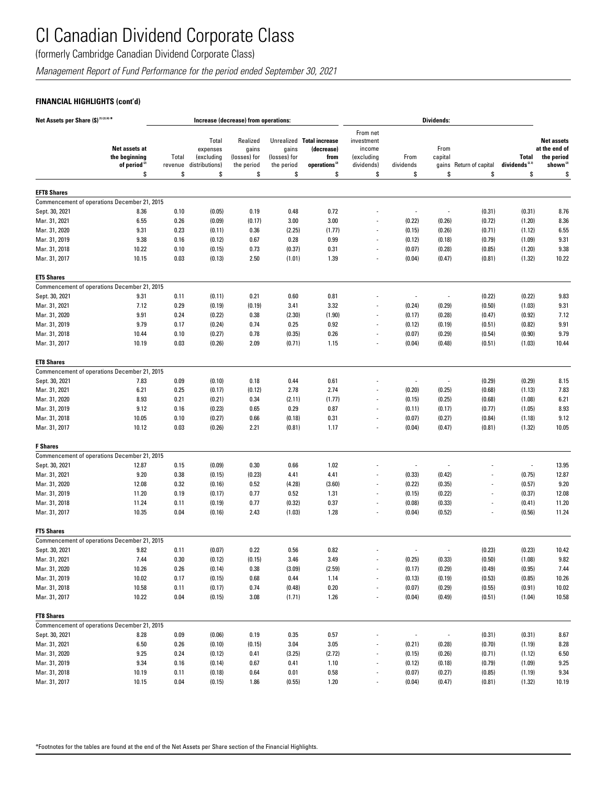(formerly Cambridge Canadian Dividend Corporate Class)

*Management Report of Fund Performance for the period ended September 30, 2021*

### **FINANCIAL HIGHLIGHTS (cont'd)**

| Net Assets per Share (\$) <sup>(1)(2)(4)*</sup> |                                                                  | Increase (decrease) from operations: |                                                         |                                                       |                                           |                                                                                    | Dividends:                                                         |                          |                       |                               |                                                  |                                                                                |
|-------------------------------------------------|------------------------------------------------------------------|--------------------------------------|---------------------------------------------------------|-------------------------------------------------------|-------------------------------------------|------------------------------------------------------------------------------------|--------------------------------------------------------------------|--------------------------|-----------------------|-------------------------------|--------------------------------------------------|--------------------------------------------------------------------------------|
|                                                 | Net assets at<br>the beginning<br>of period <sup>(2)</sup><br>\$ | Total<br>revenue<br>\$               | Total<br>expenses<br>(excluding<br>distributions)<br>\$ | Realized<br>gains<br>(losses) for<br>the period<br>\$ | gains<br>(losses) for<br>the period<br>\$ | Unrealized Total increase<br>(decrease)<br>from<br>operations <sup>(2)</sup><br>\$ | From net<br>investment<br>income<br>(excluding<br>dividends)<br>\$ | From<br>dividends<br>\$  | From<br>capital<br>\$ | gains Return of capital<br>\$ | <b>Total</b><br>dividends <sup>(2,3)</sup><br>\$ | <b>Net assets</b><br>at the end of<br>the period<br>shown <sup>(2)</sup><br>\$ |
|                                                 |                                                                  |                                      |                                                         |                                                       |                                           |                                                                                    |                                                                    |                          |                       |                               |                                                  |                                                                                |
| <b>EFT8 Shares</b>                              |                                                                  |                                      |                                                         |                                                       |                                           |                                                                                    |                                                                    |                          |                       |                               |                                                  |                                                                                |
|                                                 | Commencement of operations December 21, 2015                     |                                      |                                                         |                                                       |                                           |                                                                                    |                                                                    |                          |                       |                               |                                                  |                                                                                |
| Sept. 30, 2021                                  | 8.36                                                             | 0.10                                 | (0.05)                                                  | 0.19                                                  | 0.48                                      | 0.72                                                                               |                                                                    | $\overline{a}$           |                       | (0.31)                        | (0.31)                                           | 8.76                                                                           |
| Mar. 31, 2021                                   | 6.55                                                             | 0.26                                 | (0.09)                                                  | (0.17)                                                | 3.00                                      | 3.00                                                                               |                                                                    | (0.22)                   | (0.26)                | (0.72)                        | (1.20)                                           | 8.36                                                                           |
| Mar. 31, 2020                                   | 9.31                                                             | 0.23                                 | (0.11)                                                  | 0.36                                                  | (2.25)                                    | (1.77)                                                                             |                                                                    | (0.15)                   | (0.26)                | (0.71)                        | (1.12)                                           | 6.55                                                                           |
| Mar. 31, 2019                                   | 9.38                                                             | 0.16                                 | (0.12)                                                  | 0.67                                                  | 0.28                                      | 0.99                                                                               |                                                                    | (0.12)                   | (0.18)                | (0.79)                        | (1.09)                                           | 9.31                                                                           |
| Mar. 31, 2018<br>Mar. 31, 2017                  | 10.22<br>10.15                                                   | 0.10<br>0.03                         | (0.15)<br>(0.13)                                        | 0.73<br>2.50                                          | (0.37)<br>(1.01)                          | 0.31<br>1.39                                                                       |                                                                    | (0.07)<br>(0.04)         | (0.28)<br>(0.47)      | (0.85)<br>(0.81)              | (1.20)<br>(1.32)                                 | 9.38<br>10.22                                                                  |
|                                                 |                                                                  |                                      |                                                         |                                                       |                                           |                                                                                    |                                                                    |                          |                       |                               |                                                  |                                                                                |
| <b>ET5 Shares</b>                               |                                                                  |                                      |                                                         |                                                       |                                           |                                                                                    |                                                                    |                          |                       |                               |                                                  |                                                                                |
|                                                 | Commencement of operations December 21, 2015                     |                                      |                                                         |                                                       |                                           |                                                                                    |                                                                    |                          |                       |                               |                                                  |                                                                                |
| Sept. 30, 2021                                  | 9.31                                                             | 0.11                                 | (0.11)                                                  | 0.21                                                  | 0.60                                      | 0.81                                                                               |                                                                    | $\overline{a}$           |                       | (0.22)                        | (0.22)                                           | 9.83                                                                           |
| Mar. 31, 2021                                   | 7.12                                                             | 0.29                                 | (0.19)                                                  | (0.19)                                                | 3.41                                      | 3.32                                                                               |                                                                    | (0.24)                   | (0.29)                | (0.50)                        | (1.03)                                           | 9.31                                                                           |
| Mar. 31, 2020                                   | 9.91                                                             | 0.24                                 | (0.22)                                                  | 0.38                                                  | (2.30)                                    | (1.90)                                                                             |                                                                    | (0.17)                   | (0.28)                | (0.47)                        | (0.92)                                           | 7.12                                                                           |
| Mar. 31, 2019                                   | 9.79                                                             | 0.17                                 | (0.24)                                                  | 0.74                                                  | 0.25                                      | 0.92                                                                               |                                                                    | (0.12)                   | (0.19)                | (0.51)                        | (0.82)                                           | 9.91                                                                           |
| Mar. 31, 2018                                   | 10.44                                                            | 0.10                                 | (0.27)                                                  | 0.78                                                  | (0.35)                                    | 0.26                                                                               |                                                                    | (0.07)                   | (0.29)                | (0.54)                        | (0.90)                                           | 9.79                                                                           |
| Mar. 31, 2017                                   | 10.19                                                            | 0.03                                 | (0.26)                                                  | 2.09                                                  | (0.71)                                    | 1.15                                                                               |                                                                    | (0.04)                   | (0.48)                | (0.51)                        | (1.03)                                           | 10.44                                                                          |
| <b>ET8 Shares</b>                               |                                                                  |                                      |                                                         |                                                       |                                           |                                                                                    |                                                                    |                          |                       |                               |                                                  |                                                                                |
|                                                 | Commencement of operations December 21, 2015                     |                                      |                                                         |                                                       |                                           |                                                                                    |                                                                    |                          |                       |                               |                                                  |                                                                                |
| Sept. 30, 2021                                  | 7.83                                                             | 0.09                                 | (0.10)                                                  | 0.18                                                  | 0.44                                      | 0.61                                                                               |                                                                    | $\overline{a}$           |                       | (0.29)                        | (0.29)                                           | 8.15                                                                           |
| Mar. 31, 2021                                   | 6.21                                                             | 0.25                                 | (0.17)                                                  | (0.12)                                                | 2.78                                      | 2.74                                                                               |                                                                    | (0.20)                   | (0.25)                | (0.68)                        | (1.13)                                           | 7.83                                                                           |
| Mar. 31, 2020                                   | 8.93                                                             | 0.21                                 | (0.21)                                                  | 0.34                                                  | (2.11)                                    | (1.77)                                                                             |                                                                    | (0.15)                   | (0.25)                | (0.68)                        | (1.08)                                           | 6.21                                                                           |
| Mar. 31, 2019                                   | 9.12                                                             | 0.16                                 | (0.23)                                                  | 0.65                                                  | 0.29                                      | 0.87                                                                               |                                                                    | (0.11)                   | (0.17)                | (0.77)                        | (1.05)                                           | 8.93                                                                           |
| Mar. 31, 2018                                   | 10.05                                                            | 0.10                                 | (0.27)                                                  | 0.66                                                  | (0.18)                                    | 0.31                                                                               | $\overline{\phantom{a}}$                                           | (0.07)                   | (0.27)                | (0.84)                        | (1.18)                                           | 9.12                                                                           |
| Mar. 31, 2017                                   | 10.12                                                            | 0.03                                 | (0.26)                                                  | 2.21                                                  | (0.81)                                    | 1.17                                                                               |                                                                    | (0.04)                   | (0.47)                | (0.81)                        | (1.32)                                           | 10.05                                                                          |
| <b>F</b> Shares                                 |                                                                  |                                      |                                                         |                                                       |                                           |                                                                                    |                                                                    |                          |                       |                               |                                                  |                                                                                |
|                                                 | Commencement of operations December 21, 2015                     |                                      |                                                         |                                                       |                                           |                                                                                    |                                                                    |                          |                       |                               |                                                  |                                                                                |
| Sept. 30, 2021                                  | 12.87                                                            | 0.15                                 | (0.09)                                                  | 0.30                                                  | 0.66                                      | 1.02                                                                               |                                                                    | $\overline{a}$           |                       |                               | $\overline{\phantom{a}}$                         | 13.95                                                                          |
| Mar. 31, 2021                                   | 9.20                                                             | 0.38                                 | (0.15)                                                  | (0.23)                                                | 4.41                                      | 4.41                                                                               |                                                                    | (0.33)                   | (0.42)                |                               | (0.75)                                           | 12.87                                                                          |
| Mar. 31, 2020                                   | 12.08                                                            | 0.32                                 | (0.16)                                                  | 0.52                                                  | (4.28)                                    | (3.60)                                                                             |                                                                    | (0.22)                   | (0.35)                |                               | (0.57)                                           | 9.20                                                                           |
| Mar. 31, 2019                                   | 11.20                                                            | 0.19                                 | (0.17)                                                  | 0.77                                                  | 0.52                                      | 1.31                                                                               |                                                                    | (0.15)                   | (0.22)                |                               | (0.37)                                           | 12.08                                                                          |
| Mar. 31, 2018                                   | 11.24                                                            | 0.11                                 | (0.19)                                                  | 0.77                                                  | (0.32)                                    | 0.37                                                                               |                                                                    | (0.08)                   | (0.33)                |                               | (0.41)                                           | 11.20                                                                          |
| Mar. 31, 2017                                   | 10.35                                                            | 0.04                                 | (0.16)                                                  | 2.43                                                  | (1.03)                                    | 1.28                                                                               |                                                                    | (0.04)                   | (0.52)                |                               | (0.56)                                           | 11.24                                                                          |
| <b>FT5 Shares</b>                               |                                                                  |                                      |                                                         |                                                       |                                           |                                                                                    |                                                                    |                          |                       |                               |                                                  |                                                                                |
|                                                 | Commencement of operations December 21, 2015                     |                                      |                                                         |                                                       |                                           |                                                                                    |                                                                    |                          |                       |                               |                                                  |                                                                                |
| Sept. 30, 2021                                  | 9.82                                                             | 0.11                                 | (0.07)                                                  | 0.22                                                  | 0.56                                      | 0.82                                                                               |                                                                    |                          |                       | (0.23)                        | (0.23)                                           | 10.42                                                                          |
| Mar. 31, 2021                                   | 7.44                                                             | 0.30                                 | (0.12)                                                  | (0.15)                                                | 3.46                                      | 3.49                                                                               |                                                                    | (0.25)                   | (0.33)                | (0.50)                        | (1.08)                                           | 9.82                                                                           |
| Mar. 31, 2020                                   | 10.26                                                            | 0.26                                 | (0.14)                                                  | 0.38                                                  | (3.09)                                    | (2.59)                                                                             |                                                                    | (0.17)                   | (0.29)                | (0.49)                        | (0.95)                                           | 7.44                                                                           |
| Mar. 31, 2019                                   | 10.02                                                            | 0.17                                 | (0.15)                                                  | 0.68                                                  | 0.44                                      | 1.14                                                                               |                                                                    | (0.13)                   | (0.19)                | (0.53)                        | (0.85)                                           | 10.26                                                                          |
| Mar. 31, 2018                                   | 10.58                                                            | 0.11                                 | (0.17)                                                  | 0.74                                                  | (0.48)                                    | 0.20                                                                               |                                                                    | (0.07)                   | (0.29)                | (0.55)                        | (0.91)                                           | 10.02                                                                          |
| Mar. 31, 2017                                   | 10.22                                                            | 0.04                                 | (0.15)                                                  | 3.08                                                  | (1.71)                                    | 1.26                                                                               | $\overline{\phantom{a}}$                                           | (0.04)                   | (0.49)                | (0.51)                        | (1.04)                                           | 10.58                                                                          |
| <b>FT8 Shares</b>                               |                                                                  |                                      |                                                         |                                                       |                                           |                                                                                    |                                                                    |                          |                       |                               |                                                  |                                                                                |
|                                                 | Commencement of operations December 21, 2015                     |                                      |                                                         |                                                       |                                           |                                                                                    |                                                                    |                          |                       |                               |                                                  |                                                                                |
| Sept. 30, 2021                                  | 8.28                                                             | 0.09                                 | (0.06)                                                  | 0.19                                                  | 0.35                                      | 0.57                                                                               |                                                                    | $\overline{\phantom{a}}$ |                       | (0.31)                        | (0.31)                                           | 8.67                                                                           |
| Mar. 31, 2021                                   | 6.50                                                             | 0.26                                 | (0.10)                                                  | (0.15)                                                | 3.04                                      | 3.05                                                                               |                                                                    | (0.21)                   | (0.28)                | (0.70)                        | (1.19)                                           | 8.28                                                                           |
| Mar. 31, 2020                                   | 9.25                                                             | 0.24                                 | (0.12)                                                  | 0.41                                                  | (3.25)                                    | (2.72)                                                                             |                                                                    | (0.15)                   | (0.26)                | (0.71)                        | (1.12)                                           | 6.50                                                                           |
| Mar. 31, 2019                                   | 9.34                                                             | 0.16                                 | (0.14)                                                  | 0.67                                                  | 0.41                                      | 1.10                                                                               | $\overline{\phantom{a}}$                                           | (0.12)                   | (0.18)                | (0.79)                        | (1.09)                                           | 9.25                                                                           |
| Mar. 31, 2018                                   | 10.19                                                            | 0.11                                 | (0.18)                                                  | 0.64                                                  | 0.01                                      | 0.58                                                                               |                                                                    | (0.07)                   | (0.27)                | (0.85)                        | (1.19)                                           | 9.34                                                                           |
| Mar. 31, 2017                                   | 10.15                                                            | 0.04                                 | (0.15)                                                  | 1.86                                                  | (0.55)                                    | 1.20                                                                               |                                                                    | (0.04)                   | (0.47)                | (0.81)                        | (1.32)                                           | 10.19                                                                          |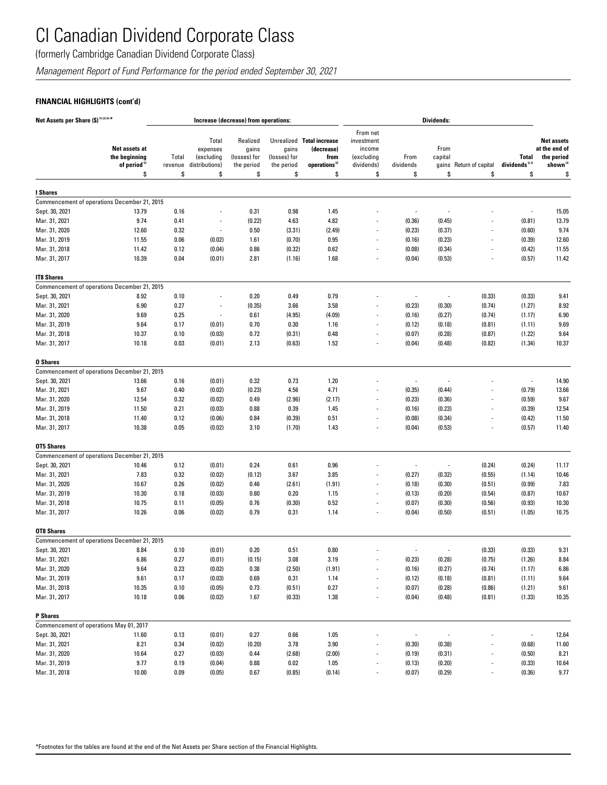(formerly Cambridge Canadian Dividend Corporate Class)

*Management Report of Fund Performance for the period ended September 30, 2021*

### **FINANCIAL HIGHLIGHTS (cont'd)**

| Net Assets per Share (\$) <sup>(1)(2)(4)*</sup> |                                                                  |                        |                                                         | Increase (decrease) from operations:                  |                                           |                                                                                    | Dividends:                                                         |                          |                          |                               |                                                  |                                                                                |
|-------------------------------------------------|------------------------------------------------------------------|------------------------|---------------------------------------------------------|-------------------------------------------------------|-------------------------------------------|------------------------------------------------------------------------------------|--------------------------------------------------------------------|--------------------------|--------------------------|-------------------------------|--------------------------------------------------|--------------------------------------------------------------------------------|
|                                                 | Net assets at<br>the beginning<br>of period <sup>(2)</sup><br>\$ | Total<br>revenue<br>\$ | Total<br>expenses<br>(excluding<br>distributions)<br>\$ | Realized<br>gains<br>(losses) for<br>the period<br>\$ | gains<br>(losses) for<br>the period<br>\$ | Unrealized Total increase<br>(decrease)<br>from<br>operations <sup>(2)</sup><br>\$ | From net<br>investment<br>income<br>(excluding<br>dividends)<br>\$ | From<br>dividends<br>\$  | From<br>capital<br>\$    | gains Return of capital<br>\$ | <b>Total</b><br>dividends <sup>(2,3)</sup><br>\$ | <b>Net assets</b><br>at the end of<br>the period<br>shown <sup>(2)</sup><br>\$ |
|                                                 |                                                                  |                        |                                                         |                                                       |                                           |                                                                                    |                                                                    |                          |                          |                               |                                                  |                                                                                |
| I Shares                                        |                                                                  |                        |                                                         |                                                       |                                           |                                                                                    |                                                                    |                          |                          |                               |                                                  |                                                                                |
|                                                 | Commencement of operations December 21, 2015                     |                        |                                                         |                                                       |                                           |                                                                                    |                                                                    |                          |                          |                               |                                                  |                                                                                |
| Sept. 30, 2021                                  | 13.79                                                            | 0.16                   | ÷,                                                      | 0.31                                                  | 0.98                                      | 1.45                                                                               |                                                                    | $\overline{a}$           |                          |                               | $\overline{\phantom{a}}$                         | 15.05                                                                          |
| Mar. 31, 2021                                   | 9.74                                                             | 0.41                   | $\overline{a}$                                          | (0.22)                                                | 4.63                                      | 4.82                                                                               |                                                                    | (0.36)                   | (0.45)                   |                               | (0.81)                                           | 13.79                                                                          |
| Mar. 31, 2020                                   | 12.60                                                            | 0.32                   | $\overline{a}$                                          | 0.50                                                  | (3.31)                                    | (2.49)                                                                             | $\overline{\phantom{a}}$                                           | (0.23)                   | (0.37)                   |                               | (0.60)                                           | 9.74                                                                           |
| Mar. 31, 2019                                   | 11.55                                                            | 0.06                   | (0.02)                                                  | 1.61                                                  | (0.70)                                    | 0.95                                                                               | $\overline{a}$                                                     | (0.16)                   | (0.23)                   |                               | (0.39)                                           | 12.60                                                                          |
| Mar. 31, 2018                                   | 11.42                                                            | 0.12                   | (0.04)                                                  | 0.86                                                  | (0.32)                                    | 0.62                                                                               |                                                                    | (0.08)                   | (0.34)                   |                               | (0.42)                                           | 11.55                                                                          |
| Mar. 31, 2017                                   | 10.39                                                            | 0.04                   | (0.01)                                                  | 2.81                                                  | (1.16)                                    | 1.68                                                                               | $\overline{a}$                                                     | (0.04)                   | (0.53)                   |                               | (0.57)                                           | 11.42                                                                          |
| <b>IT8 Shares</b>                               |                                                                  |                        |                                                         |                                                       |                                           |                                                                                    |                                                                    |                          |                          |                               |                                                  |                                                                                |
|                                                 | Commencement of operations December 21, 2015                     |                        |                                                         |                                                       |                                           |                                                                                    |                                                                    |                          |                          |                               |                                                  |                                                                                |
| Sept. 30, 2021                                  | 8.92                                                             | 0.10                   |                                                         | 0.20                                                  | 0.49                                      | 0.79                                                                               |                                                                    | $\overline{a}$           | $\overline{a}$           | (0.33)                        | (0.33)                                           | 9.41                                                                           |
| Mar. 31, 2021                                   | 6.90                                                             | 0.27                   | $\overline{a}$                                          | (0.35)                                                | 3.66                                      | 3.58                                                                               |                                                                    | (0.23)                   | (0.30)                   | (0.74)                        | (1.27)                                           | 8.92                                                                           |
| Mar. 31, 2020                                   | 9.69                                                             | 0.25                   | $\overline{a}$                                          | 0.61                                                  | (4.95)                                    | (4.09)                                                                             |                                                                    | (0.16)                   | (0.27)                   | (0.74)                        | (1.17)                                           | 6.90                                                                           |
| Mar. 31, 2019                                   | 9.64                                                             | 0.17                   | (0.01)                                                  | 0.70                                                  | 0.30                                      | 1.16                                                                               |                                                                    | (0.12)                   | (0.18)                   | (0.81)                        | (1.11)                                           | 9.69                                                                           |
| Mar. 31, 2018                                   | 10.37                                                            | 0.10                   | (0.03)                                                  | 0.72                                                  | (0.31)                                    | 0.48                                                                               |                                                                    | (0.07)                   | (0.28)                   | (0.87)                        | (1.22)                                           | 9.64                                                                           |
| Mar. 31, 2017                                   | 10.18                                                            | 0.03                   | (0.01)                                                  | 2.13                                                  | (0.63)                                    | 1.52                                                                               | $\overline{\phantom{a}}$                                           | (0.04)                   | (0.48)                   | (0.82)                        | (1.34)                                           | 10.37                                                                          |
| <b>0 Shares</b>                                 |                                                                  |                        |                                                         |                                                       |                                           |                                                                                    |                                                                    |                          |                          |                               |                                                  |                                                                                |
|                                                 | Commencement of operations December 21, 2015                     |                        |                                                         |                                                       |                                           |                                                                                    |                                                                    |                          |                          |                               |                                                  |                                                                                |
| Sept. 30, 2021                                  | 13.66                                                            | 0.16                   | (0.01)                                                  | 0.32                                                  | 0.73                                      | 1.20                                                                               |                                                                    | $\overline{a}$           |                          |                               | $\overline{\phantom{a}}$                         | 14.90                                                                          |
| Mar. 31, 2021                                   | 9.67                                                             | 0.40                   | (0.02)                                                  | (0.23)                                                | 4.56                                      | 4.71                                                                               |                                                                    | (0.35)                   | (0.44)                   |                               | (0.79)                                           | 13.66                                                                          |
| Mar. 31, 2020                                   | 12.54                                                            | 0.32                   | (0.02)                                                  | 0.49                                                  | (2.96)                                    | (2.17)                                                                             | $\overline{a}$                                                     | (0.23)                   | (0.36)                   |                               | (0.59)                                           | 9.67                                                                           |
| Mar. 31, 2019                                   | 11.50                                                            | 0.21                   | (0.03)                                                  | 0.88                                                  | 0.39                                      | 1.45                                                                               |                                                                    | (0.16)                   | (0.23)                   |                               | (0.39)                                           | 12.54                                                                          |
| Mar. 31, 2018                                   | 11.40                                                            | 0.12                   | (0.06)                                                  | 0.84                                                  | (0.39)                                    | 0.51                                                                               | $\overline{\phantom{a}}$                                           | (0.08)                   | (0.34)                   |                               | (0.42)                                           | 11.50                                                                          |
| Mar. 31, 2017                                   | 10.38                                                            | 0.05                   | (0.02)                                                  | 3.10                                                  | (1.70)                                    | 1.43                                                                               |                                                                    | (0.04)                   | (0.53)                   |                               | (0.57)                                           | 11.40                                                                          |
| <b>OT5 Shares</b>                               |                                                                  |                        |                                                         |                                                       |                                           |                                                                                    |                                                                    |                          |                          |                               |                                                  |                                                                                |
|                                                 | Commencement of operations December 21, 2015                     |                        |                                                         |                                                       |                                           |                                                                                    |                                                                    |                          |                          |                               |                                                  |                                                                                |
| Sept. 30, 2021                                  | 10.46                                                            | 0.12                   | (0.01)                                                  | 0.24                                                  | 0.61                                      | 0.96                                                                               |                                                                    | $\overline{a}$           | $\overline{\phantom{a}}$ | (0.24)                        | (0.24)                                           | 11.17                                                                          |
| Mar. 31, 2021                                   | 7.83                                                             | 0.32                   | (0.02)                                                  | (0.12)                                                | 3.67                                      | 3.85                                                                               |                                                                    | (0.27)                   | (0.32)                   | (0.55)                        | (1.14)                                           | 10.46                                                                          |
| Mar. 31, 2020                                   | 10.67                                                            | 0.26                   | (0.02)                                                  | 0.46                                                  | (2.61)                                    | (1.91)                                                                             | $\overline{a}$                                                     | (0.18)                   | (0.30)                   | (0.51)                        | (0.99)                                           | 7.83                                                                           |
| Mar. 31, 2019                                   | 10.30                                                            | 0.18                   | (0.03)                                                  | 0.80                                                  | 0.20                                      | 1.15                                                                               |                                                                    | (0.13)                   | (0.20)                   | (0.54)                        | (0.87)                                           | 10.67                                                                          |
| Mar. 31, 2018                                   | 10.75                                                            | 0.11                   | (0.05)                                                  | 0.76                                                  | (0.30)                                    | 0.52                                                                               | $\overline{\phantom{a}}$                                           | (0.07)                   | (0.30)                   | (0.56)                        | (0.93)                                           | 10.30                                                                          |
| Mar. 31, 2017                                   | 10.26                                                            | 0.06                   | (0.02)                                                  | 0.79                                                  | 0.31                                      | 1.14                                                                               |                                                                    | (0.04)                   | (0.50)                   | (0.51)                        | (1.05)                                           | 10.75                                                                          |
| <b>OT8 Shares</b>                               |                                                                  |                        |                                                         |                                                       |                                           |                                                                                    |                                                                    |                          |                          |                               |                                                  |                                                                                |
|                                                 | Commencement of operations December 21, 2015                     |                        |                                                         |                                                       |                                           |                                                                                    |                                                                    |                          |                          |                               |                                                  |                                                                                |
| Sept. 30, 2021                                  | 8.84                                                             | 0.10                   | (0.01)                                                  | 0.20                                                  | 0.51                                      | 0.80                                                                               |                                                                    |                          |                          | (0.33)                        | (0.33)                                           | 9.31                                                                           |
| Mar. 31, 2021                                   | 6.86                                                             | 0.27                   | (0.01)                                                  | (0.15)                                                | 3.08                                      | 3.19                                                                               |                                                                    | (0.23)                   | (0.28)                   | (0.75)                        | (1.26)                                           | 8.84                                                                           |
| Mar. 31, 2020                                   | 9.64                                                             | 0.23                   | (0.02)                                                  | 0.38                                                  | (2.50)                                    | (1.91)                                                                             | $\overline{\phantom{a}}$                                           | (0.16)                   | (0.27)                   | (0.74)                        | (1.17)                                           | 6.86                                                                           |
| Mar. 31, 2019                                   | 9.61                                                             | 0.17                   | (0.03)                                                  | 0.69                                                  | 0.31                                      | 1.14                                                                               | $\overline{a}$                                                     | (0.12)                   | (0.18)                   | (0.81)                        | (1.11)                                           | 9.64                                                                           |
| Mar. 31, 2018                                   | 10.35                                                            | 0.10                   | (0.05)                                                  | 0.73                                                  | (0.51)                                    | 0.27                                                                               |                                                                    | (0.07)                   | (0.28)                   | (0.86)                        | (1.21)                                           | 9.61                                                                           |
| Mar. 31, 2017                                   | 10.18                                                            | 0.06                   | (0.02)                                                  | 1.67                                                  | (0.33)                                    | 1.38                                                                               | $\overline{\phantom{a}}$                                           | (0.04)                   | (0.48)                   | (0.81)                        | (1.33)                                           | 10.35                                                                          |
| <b>P</b> Shares                                 |                                                                  |                        |                                                         |                                                       |                                           |                                                                                    |                                                                    |                          |                          |                               |                                                  |                                                                                |
| Commencement of operations May 01, 2017         |                                                                  |                        |                                                         |                                                       |                                           |                                                                                    |                                                                    |                          |                          |                               |                                                  |                                                                                |
| Sept. 30, 2021                                  | 11.60                                                            | 0.13                   | (0.01)                                                  | 0.27                                                  | 0.66                                      | 1.05                                                                               |                                                                    | $\overline{\phantom{a}}$ |                          |                               | $\overline{\phantom{a}}$                         | 12.64                                                                          |
| Mar. 31, 2021                                   | 8.21                                                             | 0.34                   | (0.02)                                                  | (0.20)                                                | 3.78                                      | 3.90                                                                               |                                                                    | (0.30)                   | (0.38)                   |                               | (0.68)                                           | 11.60                                                                          |
| Mar. 31, 2020                                   | 10.64                                                            | 0.27                   | (0.03)                                                  | 0.44                                                  | (2.68)                                    | (2.00)                                                                             |                                                                    | (0.19)                   | (0.31)                   |                               | (0.50)                                           | 8.21                                                                           |
| Mar. 31, 2019                                   | 9.77                                                             | 0.19                   | (0.04)                                                  | 0.88                                                  | 0.02                                      | 1.05                                                                               |                                                                    | (0.13)                   | (0.20)                   |                               | (0.33)                                           | 10.64                                                                          |
| Mar. 31, 2018                                   | 10.00                                                            | 0.09                   | (0.05)                                                  | 0.67                                                  | (0.85)                                    | (0.14)                                                                             |                                                                    | (0.07)                   | (0.29)                   |                               | (0.36)                                           | 9.77                                                                           |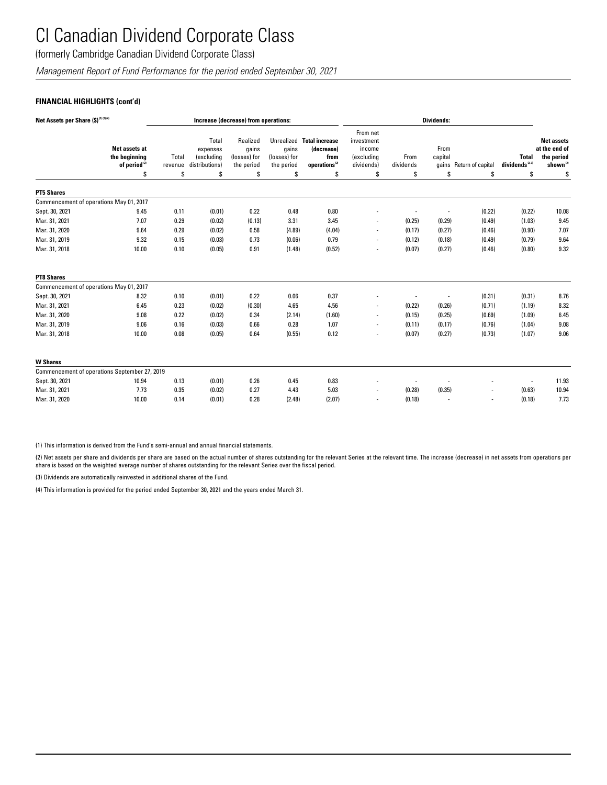(formerly Cambridge Canadian Dividend Corporate Class)

*Management Report of Fund Performance for the period ended September 30, 2021*

### **FINANCIAL HIGHLIGHTS (cont'd)**

| Net Assets per Share (\$) (1) (2) (4) |                                                            | Increase (decrease) from operations: |                                                   |                                                 |                                     |                                                                              | <b>Dividends:</b>                                            |                          |                 |                         |                                      |                                                                          |
|---------------------------------------|------------------------------------------------------------|--------------------------------------|---------------------------------------------------|-------------------------------------------------|-------------------------------------|------------------------------------------------------------------------------|--------------------------------------------------------------|--------------------------|-----------------|-------------------------|--------------------------------------|--------------------------------------------------------------------------|
|                                       | Net assets at<br>the beginning<br>of period <sup>(2)</sup> | Total<br>revenue                     | Total<br>expenses<br>(excluding<br>distributions) | Realized<br>gains<br>(losses) for<br>the period | gains<br>(losses) for<br>the period | Unrealized Total increase<br>(decrease)<br>from<br>operations <sup>(2)</sup> | From net<br>investment<br>income<br>(excluding<br>dividends) | From<br>dividends        | From<br>capital | gains Return of capital | <b>Total</b><br>dividends $^{(2,3)}$ | <b>Net assets</b><br>at the end of<br>the period<br>shown <sup>(2)</sup> |
|                                       | \$                                                         | s                                    | \$                                                | \$                                              | \$                                  | \$                                                                           | \$                                                           | \$                       | \$              | \$                      | \$                                   | \$                                                                       |
| <b>PT5 Shares</b>                     |                                                            |                                      |                                                   |                                                 |                                     |                                                                              |                                                              |                          |                 |                         |                                      |                                                                          |
|                                       | Commencement of operations May 01, 2017                    |                                      |                                                   |                                                 |                                     |                                                                              |                                                              |                          |                 |                         |                                      |                                                                          |
| Sept. 30, 2021                        | 9.45                                                       | 0.11                                 | (0.01)                                            | 0.22                                            | 0.48                                | 0.80                                                                         |                                                              | $\overline{\phantom{a}}$ |                 | (0.22)                  | (0.22)                               | 10.08                                                                    |
| Mar. 31, 2021                         | 7.07                                                       | 0.29                                 | (0.02)                                            | (0.13)                                          | 3.31                                | 3.45                                                                         |                                                              | (0.25)                   | (0.29)          | (0.49)                  | (1.03)                               | 9.45                                                                     |
| Mar. 31, 2020                         | 9.64                                                       | 0.29                                 | (0.02)                                            | 0.58                                            | (4.89)                              | (4.04)                                                                       | $\blacksquare$                                               | (0.17)                   | (0.27)          | (0.46)                  | (0.90)                               | 7.07                                                                     |
| Mar. 31, 2019                         | 9.32                                                       | 0.15                                 | (0.03)                                            | 0.73                                            | (0.06)                              | 0.79                                                                         | $\blacksquare$                                               | (0.12)                   | (0.18)          | (0.49)                  | (0.79)                               | 9.64                                                                     |
| Mar. 31, 2018                         | 10.00                                                      | 0.10                                 | (0.05)                                            | 0.91                                            | (1.48)                              | (0.52)                                                                       |                                                              | (0.07)                   | (0.27)          | (0.46)                  | (0.80)                               | 9.32                                                                     |
| <b>PT8 Shares</b>                     |                                                            |                                      |                                                   |                                                 |                                     |                                                                              |                                                              |                          |                 |                         |                                      |                                                                          |
|                                       | Commencement of operations May 01, 2017                    |                                      |                                                   |                                                 |                                     |                                                                              |                                                              |                          |                 |                         |                                      |                                                                          |
| Sept. 30, 2021                        | 8.32                                                       | 0.10                                 | (0.01)                                            | 0.22                                            | 0.06                                | 0.37                                                                         |                                                              |                          |                 | (0.31)                  | (0.31)                               | 8.76                                                                     |
| Mar. 31, 2021                         | 6.45                                                       | 0.23                                 | (0.02)                                            | (0.30)                                          | 4.65                                | 4.56                                                                         |                                                              | (0.22)                   | (0.26)          | (0.71)                  | (1.19)                               | 8.32                                                                     |
| Mar. 31, 2020                         | 9.08                                                       | 0.22                                 | (0.02)                                            | 0.34                                            | (2.14)                              | (1.60)                                                                       | $\blacksquare$                                               | (0.15)                   | (0.25)          | (0.69)                  | (1.09)                               | 6.45                                                                     |
| Mar. 31, 2019                         | 9.06                                                       | 0.16                                 | (0.03)                                            | 0.66                                            | 0.28                                | 1.07                                                                         | $\blacksquare$                                               | (0.11)                   | (0.17)          | (0.76)                  | (1.04)                               | 9.08                                                                     |
| Mar. 31, 2018                         | 10.00                                                      | 0.08                                 | (0.05)                                            | 0.64                                            | (0.55)                              | 0.12                                                                         | $\blacksquare$                                               | (0.07)                   | (0.27)          | (0.73)                  | (1.07)                               | 9.06                                                                     |
| <b>W</b> Shares                       |                                                            |                                      |                                                   |                                                 |                                     |                                                                              |                                                              |                          |                 |                         |                                      |                                                                          |
|                                       | Commencement of operations September 27, 2019              |                                      |                                                   |                                                 |                                     |                                                                              |                                                              |                          |                 |                         |                                      |                                                                          |
| Sept. 30, 2021                        | 10.94                                                      | 0.13                                 | (0.01)                                            | 0.26                                            | 0.45                                | 0.83                                                                         |                                                              |                          |                 |                         |                                      | 11.93                                                                    |
| Mar. 31, 2021                         | 7.73                                                       | 0.35                                 | (0.02)                                            | 0.27                                            | 4.43                                | 5.03                                                                         |                                                              | (0.28)                   | (0.35)          |                         | (0.63)                               | 10.94                                                                    |
| Mar. 31, 2020                         | 10.00                                                      | 0.14                                 | (0.01)                                            | 0.28                                            | (2.48)                              | (2.07)                                                                       |                                                              | (0.18)                   |                 |                         | (0.18)                               | 7.73                                                                     |

(1) This information is derived from the Fund's semi-annual and annual financial statements.

(2) Net assets per share and dividends per share are based on the actual number of shares outstanding for the relevant Series at the relevant time. The increase (decrease) in net assets from operations per share is based on the weighted average number of shares outstanding for the relevant Series over the fiscal period.

(3) Dividends are automatically reinvested in additional shares of the Fund.

(4) This information is provided for the period ended September 30, 2021 and the years ended March 31.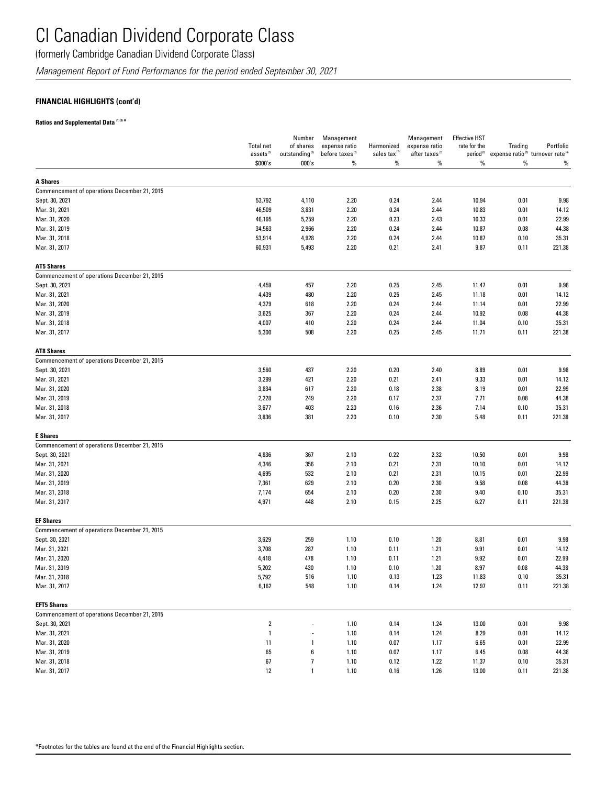(formerly Cambridge Canadian Dividend Corporate Class)

*Management Report of Fund Performance for the period ended September 30, 2021*

### **FINANCIAL HIGHLIGHTS (cont'd)**

**Ratios and Supplemental Data (1) (5) \***

|                                              | <b>Total net</b><br>assets <sup>(5)</sup> | Number<br>of shares<br>outstanding <sup>(5)</sup> | Management<br>expense ratio<br>before taxes <sup>(2)</sup> | Harmonized<br>sales tax <sup>(2)</sup> | Management<br>expense ratio<br>after taxes <sup>(2)</sup> | <b>Effective HST</b><br>rate for the<br>period <sup>(2)</sup> | Trading<br>expense ratio <sup>(3)</sup> turnover rate <sup>(4)</sup> | Portfolio       |
|----------------------------------------------|-------------------------------------------|---------------------------------------------------|------------------------------------------------------------|----------------------------------------|-----------------------------------------------------------|---------------------------------------------------------------|----------------------------------------------------------------------|-----------------|
|                                              | \$000's                                   | 000's                                             | $\%$                                                       | $\%$                                   | $\%$                                                      | $\%$                                                          | $\%$                                                                 | $\%$            |
| <b>A Shares</b>                              |                                           |                                                   |                                                            |                                        |                                                           |                                                               |                                                                      |                 |
| Commencement of operations December 21, 2015 |                                           |                                                   |                                                            |                                        |                                                           |                                                               |                                                                      |                 |
| Sept. 30, 2021                               | 53,792                                    | 4,110                                             | 2.20                                                       | 0.24                                   | 2.44                                                      | 10.94                                                         | 0.01                                                                 | 9.98            |
| Mar. 31, 2021                                | 46,509                                    | 3,831                                             | 2.20                                                       | 0.24                                   | 2.44                                                      | 10.83                                                         | 0.01                                                                 | 14.12           |
| Mar. 31, 2020                                | 46,195                                    | 5,259                                             | 2.20                                                       | 0.23                                   | 2.43                                                      | 10.33                                                         | 0.01                                                                 | 22.99           |
| Mar. 31, 2019                                | 34,563                                    | 2,966                                             | 2.20                                                       | 0.24                                   | 2.44                                                      | 10.87                                                         | 0.08                                                                 | 44.38           |
| Mar. 31, 2018                                | 53,914                                    | 4,928                                             | 2.20                                                       | 0.24                                   | 2.44                                                      | 10.87                                                         | 0.10                                                                 | 35.31           |
| Mar. 31, 2017                                | 60,931                                    | 5,493                                             | 2.20                                                       | 0.21                                   | 2.41                                                      | 9.87                                                          | 0.11                                                                 | 221.38          |
| <b>AT5 Shares</b>                            |                                           |                                                   |                                                            |                                        |                                                           |                                                               |                                                                      |                 |
| Commencement of operations December 21, 2015 |                                           |                                                   |                                                            |                                        |                                                           |                                                               |                                                                      |                 |
| Sept. 30, 2021                               | 4,459                                     | 457                                               | 2.20                                                       | 0.25                                   | 2.45                                                      | 11.47                                                         | 0.01                                                                 | 9.98            |
| Mar. 31, 2021                                | 4,439                                     | 480                                               | 2.20                                                       | 0.25                                   | 2.45                                                      | 11.18                                                         | 0.01                                                                 | 14.12           |
| Mar. 31, 2020                                | 4,379                                     | 618                                               | 2.20                                                       | 0.24                                   | 2.44                                                      | 11.14                                                         | 0.01                                                                 | 22.99           |
| Mar. 31, 2019                                | 3,625                                     | 367                                               | 2.20                                                       | 0.24                                   | 2.44                                                      | 10.92                                                         | 0.08                                                                 | 44.38           |
| Mar. 31, 2018                                | 4,007                                     | 410                                               | 2.20                                                       | 0.24                                   | 2.44                                                      | 11.04                                                         | 0.10                                                                 | 35.31           |
| Mar. 31, 2017                                | 5,300                                     | 508                                               | 2.20                                                       | 0.25                                   | 2.45                                                      | 11.71                                                         | 0.11                                                                 | 221.38          |
| <b>AT8 Shares</b>                            |                                           |                                                   |                                                            |                                        |                                                           |                                                               |                                                                      |                 |
| Commencement of operations December 21, 2015 |                                           |                                                   |                                                            |                                        |                                                           |                                                               |                                                                      |                 |
| Sept. 30, 2021                               | 3,560                                     | 437                                               | 2.20                                                       | 0.20                                   | 2.40                                                      | 8.89                                                          | 0.01                                                                 | 9.98            |
| Mar. 31, 2021                                | 3,299                                     | 421                                               | 2.20                                                       | 0.21                                   | 2.41                                                      | 9.33                                                          | 0.01                                                                 | 14.12           |
| Mar. 31, 2020                                | 3,834                                     | 617                                               | 2.20                                                       | 0.18                                   | 2.38                                                      | 8.19                                                          | 0.01                                                                 | 22.99           |
| Mar. 31, 2019                                | 2,228                                     | 249                                               | 2.20                                                       | 0.17                                   | 2.37                                                      | 7.71                                                          | 0.08                                                                 | 44.38           |
| Mar. 31, 2018                                | 3,677                                     | 403                                               | 2.20                                                       | 0.16                                   | 2.36                                                      | 7.14                                                          | 0.10                                                                 | 35.31           |
| Mar. 31, 2017                                | 3,836                                     | 381                                               | 2.20                                                       | 0.10                                   | 2.30                                                      | 5.48                                                          | 0.11                                                                 | 221.38          |
| <b>E</b> Shares                              |                                           |                                                   |                                                            |                                        |                                                           |                                                               |                                                                      |                 |
| Commencement of operations December 21, 2015 |                                           |                                                   |                                                            |                                        |                                                           |                                                               |                                                                      |                 |
| Sept. 30, 2021                               | 4,836                                     | 367                                               | 2.10                                                       | 0.22                                   | 2.32                                                      | 10.50                                                         | 0.01                                                                 | 9.98            |
| Mar. 31, 2021                                | 4,346                                     | 356                                               | 2.10                                                       | 0.21                                   | 2.31                                                      | 10.10                                                         | 0.01                                                                 | 14.12           |
| Mar. 31, 2020                                | 4,695                                     | 532                                               | 2.10                                                       | 0.21                                   | 2.31                                                      | 10.15                                                         | 0.01                                                                 | 22.99           |
| Mar. 31, 2019                                | 7,361                                     | 629                                               | 2.10                                                       | 0.20                                   | 2.30                                                      | 9.58                                                          | 0.08                                                                 | 44.38           |
| Mar. 31, 2018<br>Mar. 31, 2017               | 7,174<br>4,971                            | 654<br>448                                        | 2.10<br>2.10                                               | 0.20<br>0.15                           | 2.30<br>2.25                                              | 9.40<br>6.27                                                  | 0.10<br>0.11                                                         | 35.31<br>221.38 |
|                                              |                                           |                                                   |                                                            |                                        |                                                           |                                                               |                                                                      |                 |
| <b>EF Shares</b>                             |                                           |                                                   |                                                            |                                        |                                                           |                                                               |                                                                      |                 |
| Commencement of operations December 21, 2015 |                                           |                                                   |                                                            |                                        |                                                           |                                                               |                                                                      |                 |
| Sept. 30, 2021                               | 3,629                                     | 259                                               | 1.10                                                       | 0.10                                   | 1.20                                                      | 8.81                                                          | 0.01                                                                 | 9.98            |
| Mar. 31, 2021                                | 3,708                                     | 287                                               | 1.10                                                       | 0.11                                   | 1.21                                                      | 9.91                                                          | 0.01                                                                 | 14.12           |
| Mar. 31, 2020                                | 4,418                                     | 478                                               | 1.10                                                       | 0.11<br>0.10                           | 1.21<br>1.20                                              | 9.92<br>8.97                                                  | 0.01<br>0.08                                                         | 22.99           |
| Mar. 31, 2019                                | 5,202                                     | 430                                               | 1.10                                                       |                                        |                                                           |                                                               |                                                                      | 44.38           |
| Mar. 31, 2018                                | 5,792                                     | 516                                               | 1.10                                                       | 0.13                                   | 1.23                                                      | 11.83                                                         | 0.10                                                                 | 35.31           |
| Mar. 31, 2017                                | 6,162                                     | 548                                               | 1.10                                                       | 0.14                                   | 1.24                                                      | 12.97                                                         | 0.11                                                                 | 221.38          |
| <b>EFT5 Shares</b>                           |                                           |                                                   |                                                            |                                        |                                                           |                                                               |                                                                      |                 |
| Commencement of operations December 21, 2015 |                                           |                                                   |                                                            |                                        |                                                           |                                                               |                                                                      |                 |
| Sept. 30, 2021                               | $\sqrt{2}$                                |                                                   | 1.10                                                       | 0.14                                   | 1.24                                                      | 13.00                                                         | 0.01                                                                 | 9.98            |
| Mar. 31, 2021                                | $\mathbf{1}$                              |                                                   | 1.10                                                       | 0.14                                   | 1.24                                                      | 8.29                                                          | 0.01                                                                 | 14.12           |
| Mar. 31, 2020                                | 11                                        | $\mathbf{1}$                                      | 1.10                                                       | 0.07                                   | 1.17                                                      | 6.65                                                          | 0.01                                                                 | 22.99           |
| Mar. 31, 2019<br>Mar. 31, 2018               | 65                                        | 6                                                 | 1.10                                                       | 0.07                                   | 1.17                                                      | 6.45                                                          | 0.08                                                                 | 44.38           |
| Mar. 31, 2017                                | 67                                        | $\overline{\phantom{a}}$                          | 1.10                                                       | 0.12                                   | 1.22                                                      | 11.37                                                         | 0.10                                                                 | 35.31           |
|                                              | 12                                        | $\mathbf{1}$                                      | 1.10                                                       | 0.16                                   | 1.26                                                      | 13.00                                                         | 0.11                                                                 | 221.38          |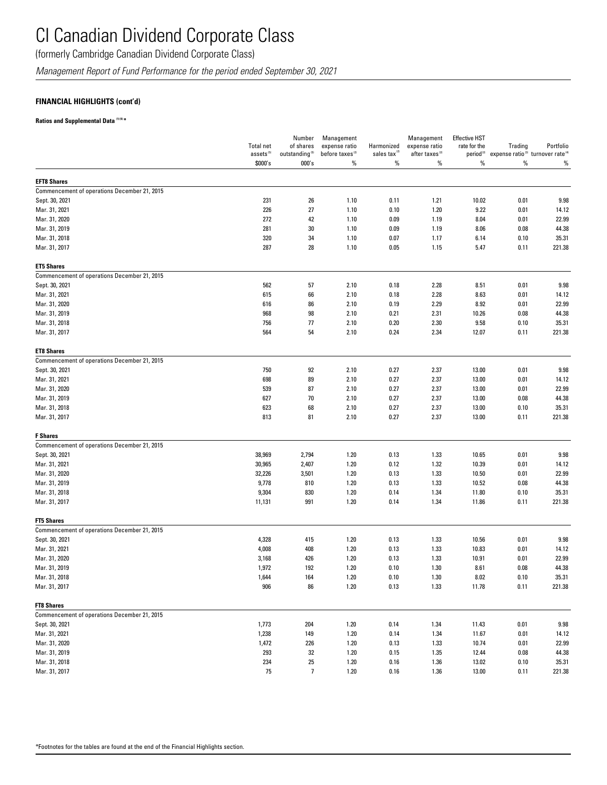(formerly Cambridge Canadian Dividend Corporate Class)

*Management Report of Fund Performance for the period ended September 30, 2021*

### **FINANCIAL HIGHLIGHTS (cont'd)**

### **Ratios and Supplemental Data (1) (5) \***

|                                                                   | <b>Total net</b><br>assets <sup>(5)</sup> | Number<br>of shares<br>outstanding $(5)$ | Management<br>expense ratio<br>before taxes <sup>(2)</sup> | Harmonized<br>sales tax <sup>12</sup> | Management<br>expense ratio<br>after taxes <sup>(2)</sup> | <b>Effective HST</b><br>rate for the<br>period <sup>(2)</sup> | Trading      | Portfolio<br>expense ratio <sup>(3)</sup> turnover rate <sup>(4)</sup> |
|-------------------------------------------------------------------|-------------------------------------------|------------------------------------------|------------------------------------------------------------|---------------------------------------|-----------------------------------------------------------|---------------------------------------------------------------|--------------|------------------------------------------------------------------------|
|                                                                   | \$000's                                   | 000's                                    | %                                                          | $\%$                                  | %                                                         | $\%$                                                          | $\%$         | $\%$                                                                   |
| <b>EFT8 Shares</b>                                                |                                           |                                          |                                                            |                                       |                                                           |                                                               |              |                                                                        |
| Commencement of operations December 21, 2015                      |                                           |                                          |                                                            |                                       |                                                           |                                                               |              |                                                                        |
| Sept. 30, 2021                                                    | 231                                       | 26                                       | 1.10                                                       | 0.11                                  | 1.21                                                      | 10.02                                                         | 0.01         | 9.98                                                                   |
| Mar. 31, 2021                                                     | 226                                       | 27                                       | 1.10                                                       | 0.10                                  | 1.20                                                      | 9.22                                                          | 0.01         | 14.12                                                                  |
| Mar. 31, 2020                                                     | 272                                       | 42                                       | 1.10                                                       | 0.09                                  | 1.19                                                      | 8.04                                                          | 0.01         | 22.99                                                                  |
| Mar. 31, 2019                                                     | 281                                       | 30                                       | 1.10                                                       | 0.09                                  | 1.19                                                      | 8.06                                                          | 0.08         | 44.38                                                                  |
| Mar. 31, 2018                                                     | 320                                       | 34                                       | 1.10                                                       | 0.07                                  | 1.17                                                      | 6.14                                                          | 0.10         | 35.31                                                                  |
| Mar. 31, 2017                                                     | 287                                       | 28                                       | 1.10                                                       | 0.05                                  | 1.15                                                      | 5.47                                                          | 0.11         | 221.38                                                                 |
| <b>ET5 Shares</b>                                                 |                                           |                                          |                                                            |                                       |                                                           |                                                               |              |                                                                        |
| Commencement of operations December 21, 2015                      |                                           |                                          |                                                            |                                       |                                                           |                                                               |              |                                                                        |
| Sept. 30, 2021                                                    | 562                                       | 57                                       | 2.10                                                       | 0.18                                  | 2.28                                                      | 8.51                                                          | 0.01         | 9.98                                                                   |
| Mar. 31, 2021                                                     | 615                                       | 66                                       | 2.10                                                       | 0.18                                  | 2.28                                                      | 8.63                                                          | 0.01         | 14.12                                                                  |
| Mar. 31, 2020                                                     | 616                                       | 86                                       | 2.10                                                       | 0.19                                  | 2.29                                                      | 8.92                                                          | 0.01         | 22.99                                                                  |
| Mar. 31, 2019                                                     | 968                                       | 98                                       | 2.10                                                       | 0.21                                  | 2.31                                                      | 10.26                                                         | 0.08         | 44.38                                                                  |
| Mar. 31, 2018                                                     | 756                                       | 77                                       | 2.10                                                       | 0.20                                  | 2.30                                                      | 9.58                                                          | 0.10         | 35.31                                                                  |
| Mar. 31, 2017                                                     | 564                                       | 54                                       | 2.10                                                       | 0.24                                  | 2.34                                                      | 12.07                                                         | 0.11         | 221.38                                                                 |
| <b>ET8 Shares</b>                                                 |                                           |                                          |                                                            |                                       |                                                           |                                                               |              |                                                                        |
| Commencement of operations December 21, 2015                      |                                           |                                          |                                                            |                                       |                                                           |                                                               |              |                                                                        |
| Sept. 30, 2021                                                    | 750                                       | 92                                       | 2.10                                                       | 0.27                                  | 2.37                                                      | 13.00                                                         | 0.01         | 9.98                                                                   |
| Mar. 31, 2021                                                     | 698                                       | 89                                       | 2.10                                                       | 0.27                                  | 2.37                                                      | 13.00                                                         | 0.01         | 14.12                                                                  |
| Mar. 31, 2020                                                     | 539                                       | 87                                       | 2.10                                                       | 0.27                                  | 2.37                                                      | 13.00                                                         | 0.01         | 22.99                                                                  |
| Mar. 31, 2019                                                     | 627                                       | 70                                       | 2.10                                                       | 0.27                                  | 2.37                                                      | 13.00                                                         | 0.08         | 44.38                                                                  |
| Mar. 31, 2018                                                     | 623                                       | 68                                       | 2.10                                                       | 0.27                                  | 2.37                                                      | 13.00                                                         | 0.10         | 35.31                                                                  |
| Mar. 31, 2017                                                     | 813                                       | 81                                       | 2.10                                                       | 0.27                                  | 2.37                                                      | 13.00                                                         | 0.11         | 221.38                                                                 |
| <b>F</b> Shares                                                   |                                           |                                          |                                                            |                                       |                                                           |                                                               |              |                                                                        |
| Commencement of operations December 21, 2015                      |                                           |                                          |                                                            |                                       |                                                           |                                                               |              |                                                                        |
| Sept. 30, 2021                                                    | 38,969                                    | 2,794                                    | 1.20                                                       | 0.13                                  | 1.33                                                      | 10.65                                                         | 0.01         | 9.98                                                                   |
| Mar. 31, 2021                                                     | 30,965                                    | 2,407                                    | 1.20                                                       | 0.12                                  | 1.32                                                      | 10.39                                                         | 0.01         | 14.12                                                                  |
| Mar. 31, 2020                                                     | 32,226                                    | 3,501                                    | 1.20                                                       | 0.13                                  | 1.33                                                      | 10.50                                                         | 0.01         | 22.99                                                                  |
| Mar. 31, 2019                                                     | 9,778                                     | 810                                      | 1.20                                                       | 0.13                                  | 1.33                                                      | 10.52                                                         | 0.08         | 44.38                                                                  |
| Mar. 31, 2018<br>Mar. 31, 2017                                    | 9,304<br>11,131                           | 830<br>991                               | 1.20<br>1.20                                               | 0.14<br>0.14                          | 1.34<br>1.34                                              | 11.80<br>11.86                                                | 0.10<br>0.11 | 35.31<br>221.38                                                        |
|                                                                   |                                           |                                          |                                                            |                                       |                                                           |                                                               |              |                                                                        |
| <b>FT5 Shares</b>                                                 |                                           |                                          |                                                            |                                       |                                                           |                                                               |              |                                                                        |
| Commencement of operations December 21, 2015                      |                                           |                                          |                                                            |                                       |                                                           |                                                               |              |                                                                        |
| Sept. 30, 2021                                                    | 4,328                                     | 415                                      | 1.20                                                       | 0.13                                  | 1.33                                                      | 10.56                                                         | 0.01         | 9.98                                                                   |
| Mar. 31, 2021                                                     | 4,008                                     | 408                                      | 1.20                                                       | 0.13                                  | 1.33                                                      | 10.83                                                         | 0.01         | 14.12                                                                  |
| Mar. 31, 2020                                                     | 3,168                                     | 426                                      | 1.20                                                       | 0.13                                  | 1.33                                                      | 10.91                                                         | 0.01         | 22.99                                                                  |
| Mar. 31, 2019                                                     | 1,972                                     | 192                                      | 1.20                                                       | 0.10                                  | 1.30                                                      | 8.61                                                          | 0.08         | 44.38                                                                  |
| Mar. 31, 2018<br>Mar. 31, 2017                                    | 1,644<br>906                              | 164<br>86                                | 1.20<br>1.20                                               | 0.10<br>0.13                          | 1.30<br>1.33                                              | 8.02<br>11.78                                                 | 0.10<br>0.11 | 35.31<br>221.38                                                        |
|                                                                   |                                           |                                          |                                                            |                                       |                                                           |                                                               |              |                                                                        |
| <b>FT8 Shares</b><br>Commencement of operations December 21, 2015 |                                           |                                          |                                                            |                                       |                                                           |                                                               |              |                                                                        |
| Sept. 30, 2021                                                    | 1,773                                     | 204                                      | 1.20                                                       | 0.14                                  | 1.34                                                      | 11.43                                                         | 0.01         | 9.98                                                                   |
| Mar. 31, 2021                                                     | 1,238                                     | 149                                      | 1.20                                                       | 0.14                                  | 1.34                                                      | 11.67                                                         | 0.01         | 14.12                                                                  |
| Mar. 31, 2020                                                     | 1,472                                     | 226                                      | 1.20                                                       | 0.13                                  | 1.33                                                      | 10.74                                                         | 0.01         | 22.99                                                                  |
| Mar. 31, 2019                                                     | 293                                       | 32                                       | 1.20                                                       | 0.15                                  | 1.35                                                      | 12.44                                                         | 0.08         | 44.38                                                                  |
| Mar. 31, 2018                                                     | 234                                       | 25                                       | 1.20                                                       | 0.16                                  | 1.36                                                      | 13.02                                                         | 0.10         | 35.31                                                                  |
| Mar. 31, 2017                                                     | $75\,$                                    | $\overline{7}$                           | 1.20                                                       | 0.16                                  | 1.36                                                      | 13.00                                                         | 0.11         | 221.38                                                                 |
|                                                                   |                                           |                                          |                                                            |                                       |                                                           |                                                               |              |                                                                        |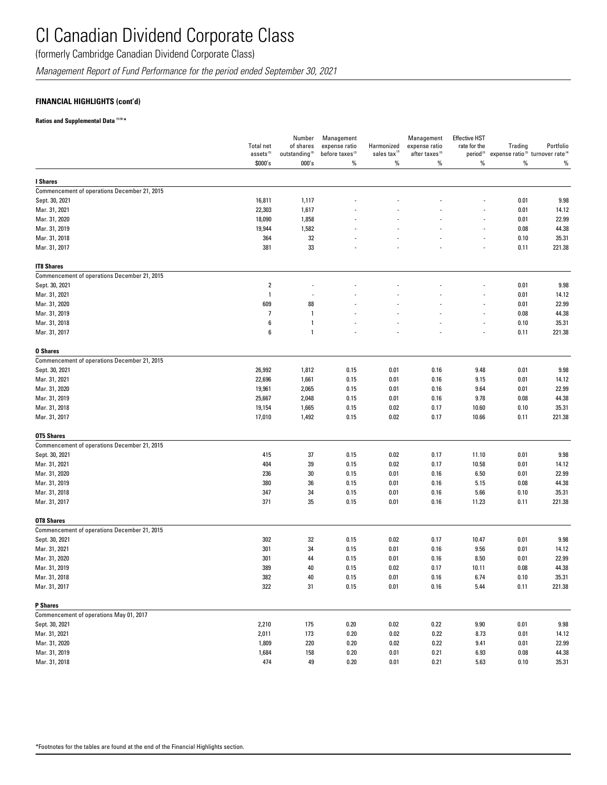(formerly Cambridge Canadian Dividend Corporate Class)

*Management Report of Fund Performance for the period ended September 30, 2021*

### **FINANCIAL HIGHLIGHTS (cont'd)**

### **Ratios and Supplemental Data (1) (5) \***

|                                              | <b>Total net</b><br>assets <sup>(5)</sup> | Number<br>of shares<br>outstanding <sup>(5)</sup> | Management<br>expense ratio<br>before taxes <sup>(2)</sup> | Harmonized<br>sales tax <sup>12</sup> | Management<br>expense ratio<br>after taxes <sup>(2)</sup> | <b>Effective HST</b><br>rate for the | Trading<br>period <sup>(2)</sup> expense ratio <sup>(3)</sup> turnover rate <sup>(4)</sup> | Portfolio |
|----------------------------------------------|-------------------------------------------|---------------------------------------------------|------------------------------------------------------------|---------------------------------------|-----------------------------------------------------------|--------------------------------------|--------------------------------------------------------------------------------------------|-----------|
|                                              | \$000's                                   | 000's                                             | %                                                          | $\%$                                  | %                                                         | %                                    | %                                                                                          | %         |
| I Shares                                     |                                           |                                                   |                                                            |                                       |                                                           |                                      |                                                                                            |           |
| Commencement of operations December 21, 2015 |                                           |                                                   |                                                            |                                       |                                                           |                                      |                                                                                            |           |
| Sept. 30, 2021                               | 16,811                                    | 1,117                                             |                                                            |                                       |                                                           |                                      | 0.01                                                                                       | 9.98      |
| Mar. 31, 2021                                | 22,303                                    | 1,617                                             |                                                            |                                       |                                                           |                                      | 0.01                                                                                       | 14.12     |
| Mar. 31, 2020                                | 18,090                                    | 1,858                                             |                                                            |                                       |                                                           |                                      | 0.01                                                                                       | 22.99     |
| Mar. 31, 2019                                | 19,944                                    | 1,582                                             |                                                            |                                       |                                                           |                                      | 0.08                                                                                       | 44.38     |
| Mar. 31, 2018                                | 364                                       | 32                                                |                                                            |                                       |                                                           |                                      | 0.10                                                                                       | 35.31     |
| Mar. 31, 2017                                | 381                                       | 33                                                |                                                            |                                       |                                                           |                                      | 0.11                                                                                       | 221.38    |
|                                              |                                           |                                                   |                                                            |                                       |                                                           |                                      |                                                                                            |           |
| <b>IT8 Shares</b>                            |                                           |                                                   |                                                            |                                       |                                                           |                                      |                                                                                            |           |
| Commencement of operations December 21, 2015 |                                           |                                                   |                                                            |                                       |                                                           |                                      |                                                                                            |           |
| Sept. 30, 2021                               | $\overline{2}$                            |                                                   |                                                            |                                       |                                                           |                                      | 0.01                                                                                       | 9.98      |
| Mar. 31, 2021                                | $\mathbf{1}$                              |                                                   |                                                            |                                       |                                                           |                                      | 0.01                                                                                       | 14.12     |
| Mar. 31, 2020                                | 609                                       | 88                                                |                                                            |                                       |                                                           |                                      | 0.01                                                                                       | 22.99     |
| Mar. 31, 2019                                | $\overline{\phantom{a}}$                  | $\mathbf{1}$                                      |                                                            |                                       |                                                           | ٠                                    | 0.08                                                                                       | 44.38     |
| Mar. 31, 2018                                | 6                                         | $\mathbf{1}$                                      |                                                            |                                       |                                                           |                                      | 0.10                                                                                       | 35.31     |
| Mar. 31, 2017                                | 6                                         | $\mathbf{1}$                                      |                                                            |                                       |                                                           | $\overline{a}$                       | 0.11                                                                                       | 221.38    |
| <b>0 Shares</b>                              |                                           |                                                   |                                                            |                                       |                                                           |                                      |                                                                                            |           |
| Commencement of operations December 21, 2015 |                                           |                                                   |                                                            |                                       |                                                           |                                      |                                                                                            |           |
| Sept. 30, 2021                               | 26,992                                    | 1,812                                             | 0.15                                                       | 0.01                                  | 0.16                                                      | 9.48                                 | 0.01                                                                                       | 9.98      |
| Mar. 31, 2021                                | 22,696                                    | 1,661                                             | 0.15                                                       | 0.01                                  | 0.16                                                      | 9.15                                 | 0.01                                                                                       | 14.12     |
| Mar. 31, 2020                                | 19,961                                    | 2,065                                             | 0.15                                                       | 0.01                                  | 0.16                                                      | 9.64                                 | 0.01                                                                                       | 22.99     |
| Mar. 31, 2019                                | 25,667                                    | 2,048                                             | 0.15                                                       | 0.01                                  | 0.16                                                      | 9.78                                 | 0.08                                                                                       | 44.38     |
| Mar. 31, 2018                                | 19,154                                    | 1,665                                             | 0.15                                                       | 0.02                                  | 0.17                                                      | 10.60                                | 0.10                                                                                       | 35.31     |
| Mar. 31, 2017                                | 17,010                                    | 1,492                                             | 0.15                                                       | 0.02                                  | 0.17                                                      | 10.66                                | 0.11                                                                                       | 221.38    |
| OT5 Shares                                   |                                           |                                                   |                                                            |                                       |                                                           |                                      |                                                                                            |           |
| Commencement of operations December 21, 2015 |                                           |                                                   |                                                            |                                       |                                                           |                                      |                                                                                            |           |
| Sept. 30, 2021                               | 415                                       | 37                                                | 0.15                                                       | 0.02                                  | 0.17                                                      | 11.10                                | 0.01                                                                                       | 9.98      |
| Mar. 31, 2021                                | 404                                       | 39                                                | 0.15                                                       | 0.02                                  | 0.17                                                      | 10.58                                | 0.01                                                                                       | 14.12     |
| Mar. 31, 2020                                | 236                                       | 30                                                | 0.15                                                       | 0.01                                  | 0.16                                                      | 6.50                                 | 0.01                                                                                       | 22.99     |
| Mar. 31, 2019                                | 380                                       | 36                                                | 0.15                                                       | 0.01                                  | 0.16                                                      | 5.15                                 | 0.08                                                                                       | 44.38     |
| Mar. 31, 2018                                | 347                                       | 34                                                | 0.15                                                       | 0.01                                  | 0.16                                                      | 5.66                                 | 0.10                                                                                       | 35.31     |
| Mar. 31, 2017                                | 371                                       | 35                                                | 0.15                                                       | 0.01                                  | 0.16                                                      | 11.23                                | 0.11                                                                                       | 221.38    |
| OT8 Shares                                   |                                           |                                                   |                                                            |                                       |                                                           |                                      |                                                                                            |           |
| Commencement of operations December 21, 2015 |                                           |                                                   |                                                            |                                       |                                                           |                                      |                                                                                            |           |
| Sept. 30, 2021                               | 302                                       | 32                                                | 0.15                                                       | 0.02                                  | 0.17                                                      | 10.47                                | 0.01                                                                                       | 9.98      |
| Mar. 31, 2021                                | 301                                       | 34                                                | 0.15                                                       | 0.01                                  | 0.16                                                      | 9.56                                 | 0.01                                                                                       | 14.12     |
| Mar. 31, 2020                                | 301                                       | 44                                                | 0.15                                                       | 0.01                                  | 0.16                                                      | 8.50                                 | 0.01                                                                                       | 22.99     |
| Mar. 31, 2019                                | 389                                       | 40                                                | 0.15                                                       | 0.02                                  | 0.17                                                      | 10.11                                | 0.08                                                                                       | 44.38     |
|                                              |                                           |                                                   |                                                            |                                       |                                                           |                                      |                                                                                            |           |
| Mar. 31, 2018                                | 382                                       | 40                                                | 0.15                                                       | 0.01                                  | 0.16                                                      | 6.74                                 | 0.10                                                                                       | 35.31     |
| Mar. 31, 2017                                | 322                                       | 31                                                | 0.15                                                       | 0.01                                  | 0.16                                                      | 5.44                                 | 0.11                                                                                       | 221.38    |
| P Shares                                     |                                           |                                                   |                                                            |                                       |                                                           |                                      |                                                                                            |           |
| Commencement of operations May 01, 2017      |                                           |                                                   |                                                            |                                       |                                                           |                                      |                                                                                            |           |
| Sept. 30, 2021                               | 2,210                                     | 175                                               | 0.20                                                       | 0.02                                  | 0.22                                                      | 9.90                                 | 0.01                                                                                       | 9.98      |
| Mar. 31, 2021                                | 2,011                                     | 173                                               | 0.20                                                       | 0.02                                  | 0.22                                                      | 8.73                                 | 0.01                                                                                       | 14.12     |
| Mar. 31, 2020                                | 1,809                                     | 220                                               | 0.20                                                       | 0.02                                  | 0.22                                                      | 9.41                                 | 0.01                                                                                       | 22.99     |
| Mar. 31, 2019                                | 1,684                                     | 158                                               | 0.20                                                       | 0.01                                  | 0.21                                                      | 6.93                                 | 0.08                                                                                       | 44.38     |
| Mar. 31, 2018                                | 474                                       | 49                                                | 0.20                                                       | 0.01                                  | 0.21                                                      | 5.63                                 | 0.10                                                                                       | 35.31     |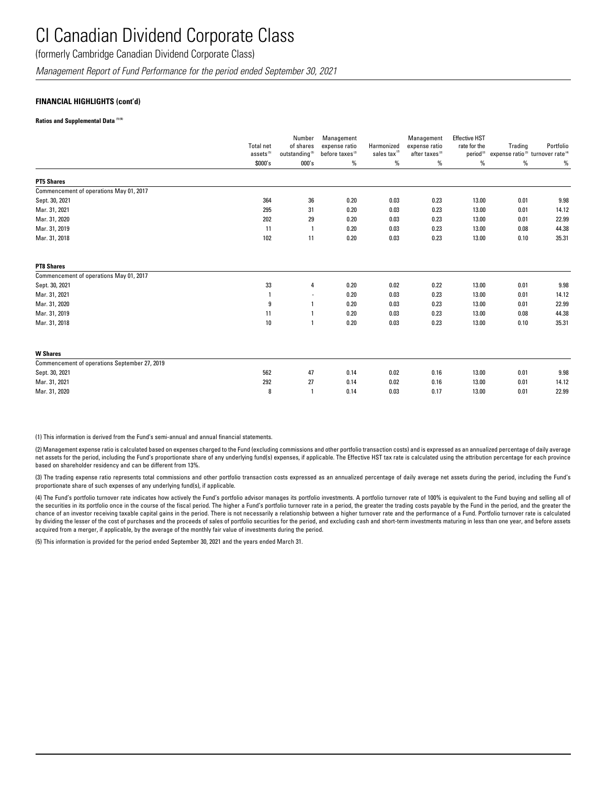(formerly Cambridge Canadian Dividend Corporate Class)

*Management Report of Fund Performance for the period ended September 30, 2021*

### **FINANCIAL HIGHLIGHTS (cont'd)**

#### **Ratios and Supplemental Data (1) (5)**

|                                               | <b>Total net</b><br>$\mathsf{asserts}^\text{\tiny(5)}$ | Number<br>of shares<br>outstanding <sup>(5)</sup> | Management<br>expense ratio<br>before taxes <sup>(2)</sup> | Harmonized<br>sales tax <sup>(2)</sup> | Management<br>expense ratio<br>after taxes <sup>(2)</sup> | <b>Effective HST</b><br>rate for the<br>period <sup>(2)</sup> | Trading<br>expense ratio <sup>(3)</sup> turnover rate <sup>(4)</sup> | Portfolio |
|-----------------------------------------------|--------------------------------------------------------|---------------------------------------------------|------------------------------------------------------------|----------------------------------------|-----------------------------------------------------------|---------------------------------------------------------------|----------------------------------------------------------------------|-----------|
|                                               | \$000's                                                | 000's                                             | %                                                          | %                                      | %                                                         | %                                                             | %                                                                    | %         |
| <b>PT5 Shares</b>                             |                                                        |                                                   |                                                            |                                        |                                                           |                                                               |                                                                      |           |
| Commencement of operations May 01, 2017       |                                                        |                                                   |                                                            |                                        |                                                           |                                                               |                                                                      |           |
| Sept. 30, 2021                                | 364                                                    | 36                                                | 0.20                                                       | 0.03                                   | 0.23                                                      | 13.00                                                         | 0.01                                                                 | 9.98      |
| Mar. 31, 2021                                 | 295                                                    | 31                                                | 0.20                                                       | 0.03                                   | 0.23                                                      | 13.00                                                         | 0.01                                                                 | 14.12     |
| Mar. 31, 2020                                 | 202                                                    | 29                                                | 0.20                                                       | 0.03                                   | 0.23                                                      | 13.00                                                         | 0.01                                                                 | 22.99     |
| Mar. 31, 2019                                 | 11                                                     | $\mathbf{1}$                                      | 0.20                                                       | 0.03                                   | 0.23                                                      | 13.00                                                         | 0.08                                                                 | 44.38     |
| Mar. 31, 2018                                 | 102                                                    | 11                                                | 0.20                                                       | 0.03                                   | 0.23                                                      | 13.00                                                         | 0.10                                                                 | 35.31     |
| <b>PT8 Shares</b>                             |                                                        |                                                   |                                                            |                                        |                                                           |                                                               |                                                                      |           |
| Commencement of operations May 01, 2017       |                                                        |                                                   |                                                            |                                        |                                                           |                                                               |                                                                      |           |
| Sept. 30, 2021                                | 33                                                     | 4                                                 | 0.20                                                       | 0.02                                   | 0.22                                                      | 13.00                                                         | 0.01                                                                 | 9.98      |
| Mar. 31, 2021                                 | $\mathbf{1}$                                           | $\overline{\phantom{a}}$                          | 0.20                                                       | 0.03                                   | 0.23                                                      | 13.00                                                         | 0.01                                                                 | 14.12     |
| Mar. 31, 2020                                 | 9                                                      | 1                                                 | 0.20                                                       | 0.03                                   | 0.23                                                      | 13.00                                                         | 0.01                                                                 | 22.99     |
| Mar. 31, 2019                                 | 11                                                     | 1                                                 | 0.20                                                       | 0.03                                   | 0.23                                                      | 13.00                                                         | 0.08                                                                 | 44.38     |
| Mar. 31, 2018                                 | 10                                                     | 1                                                 | 0.20                                                       | 0.03                                   | 0.23                                                      | 13.00                                                         | 0.10                                                                 | 35.31     |
| <b>W</b> Shares                               |                                                        |                                                   |                                                            |                                        |                                                           |                                                               |                                                                      |           |
| Commencement of operations September 27, 2019 |                                                        |                                                   |                                                            |                                        |                                                           |                                                               |                                                                      |           |
| Sept. 30, 2021                                | 562                                                    | 47                                                | 0.14                                                       | 0.02                                   | 0.16                                                      | 13.00                                                         | 0.01                                                                 | 9.98      |
| Mar. 31, 2021                                 | 292                                                    | 27                                                | 0.14                                                       | 0.02                                   | 0.16                                                      | 13.00                                                         | 0.01                                                                 | 14.12     |
| Mar. 31, 2020                                 | 8                                                      | 1                                                 | 0.14                                                       | 0.03                                   | 0.17                                                      | 13.00                                                         | 0.01                                                                 | 22.99     |

(1) This information is derived from the Fund's semi-annual and annual financial statements.

(2) Management expense ratio is calculated based on expenses charged to the Fund (excluding commissions and other portfolio transaction costs) and is expressed as an annualized percentage of daily average net assets for the period, including the Fund's proportionate share of any underlying fund(s) expenses, if applicable. The Effective HST tax rate is calculated using the attribution percentage for each province based on shareholder residency and can be different from 13%.

(3) The trading expense ratio represents total commissions and other portfolio transaction costs expressed as an annualized percentage of daily average net assets during the period, including the Fund's proportionate share of such expenses of any underlying fund(s), if applicable.

(4) The Fund's portfolio turnover rate indicates how actively the Fund's portfolio advisor manages its portfolio investments. A portfolio turnover rate of 100% is equivalent to the Fund buying and selling all of the securities in its portfolio once in the course of the fiscal period. The higher a Fund's portfolio turnover rate in a period, the greater the trading costs payable by the Fund in the period, and the greater the chance of an investor receiving taxable capital gains in the period. There is not necessarily a relationship between a higher turnover rate and the performance of a Fund. Portfolio turnover rate is calculated by dividing the lesser of the cost of purchases and the proceeds of sales of portfolio securities for the period, and excluding cash and short-term investments maturing in less than one year, and before assets acquired from a merger, if applicable, by the average of the monthly fair value of investments during the period.

(5) This information is provided for the period ended September 30, 2021 and the years ended March 31.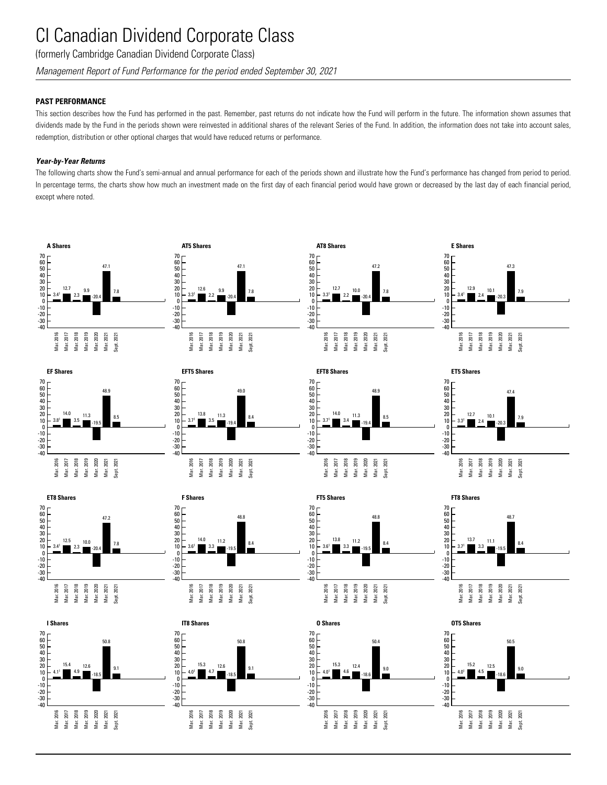(formerly Cambridge Canadian Dividend Corporate Class)

*Management Report of Fund Performance for the period ended September 30, 2021*

### **PAST PERFORMANCE**

This section describes how the Fund has performed in the past. Remember, past returns do not indicate how the Fund will perform in the future. The information shown assumes that dividends made by the Fund in the periods shown were reinvested in additional shares of the relevant Series of the Fund. In addition, the information does not take into account sales, redemption, distribution or other optional charges that would have reduced returns or performance.

### *Year-by-Year Returns*

The following charts show the Fund's semi-annual and annual performance for each of the periods shown and illustrate how the Fund's performance has changed from period to period. In percentage terms, the charts show how much an investment made on the first day of each financial period would have grown or decreased by the last day of each financial period, except where noted.



















50.8

9.1

**I Shares**

4.11 15.4 4.9 12.6 -18.5

Mar. 2016 Mar. 2017 Mar. 2018 Mar. 2019 Mar. 2020 Mar. 2021 Sept. 2021

-10<br>-20<br>-30<br>-40 0 10

60<br>50<br>40<br>30<br>20

70











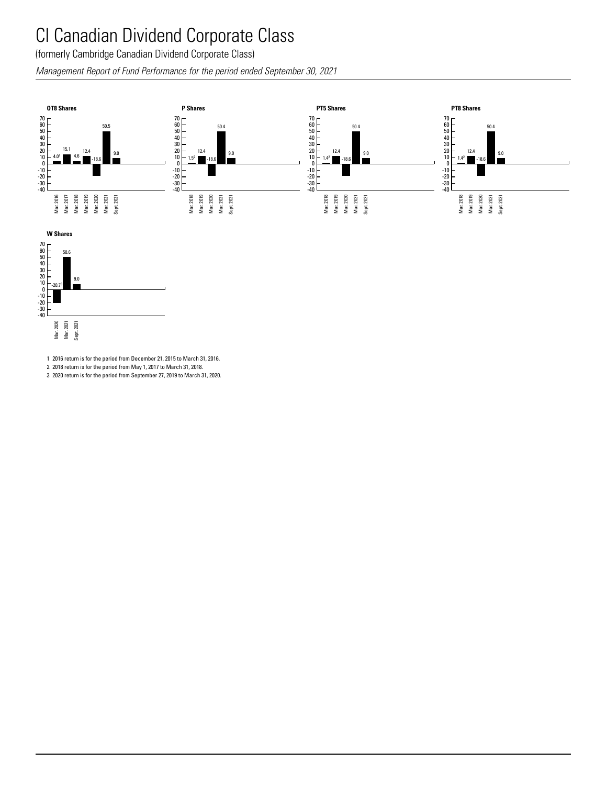#### CI Canadian Dividend Corporate Class  $\frac{1}{2}$ . d Corpo roto

(formerly Cambridge Canadian Dividend Corporate Class)

Management Report of Fund Performance for the period ended September 30, 2021<br> for the period end  $\frac{1}{2}$ 



Mar. 2018 Mar. 2019 Mar. 2020 Mar. 2021 Sept. 2021 Mar. 2016 Mar. 2017 Mar. 2018

Mar. 2019 Mar. 2020 Mar. 2021 Sept. 2021



1 2016 return is for the period from December 21, 2015 to March 31, 2016.

2 2018 return is for the period from May 1, 2017 to March 31, 2018.

3 2020 return is for the period from September 27, 2019 to March 31, 2020.